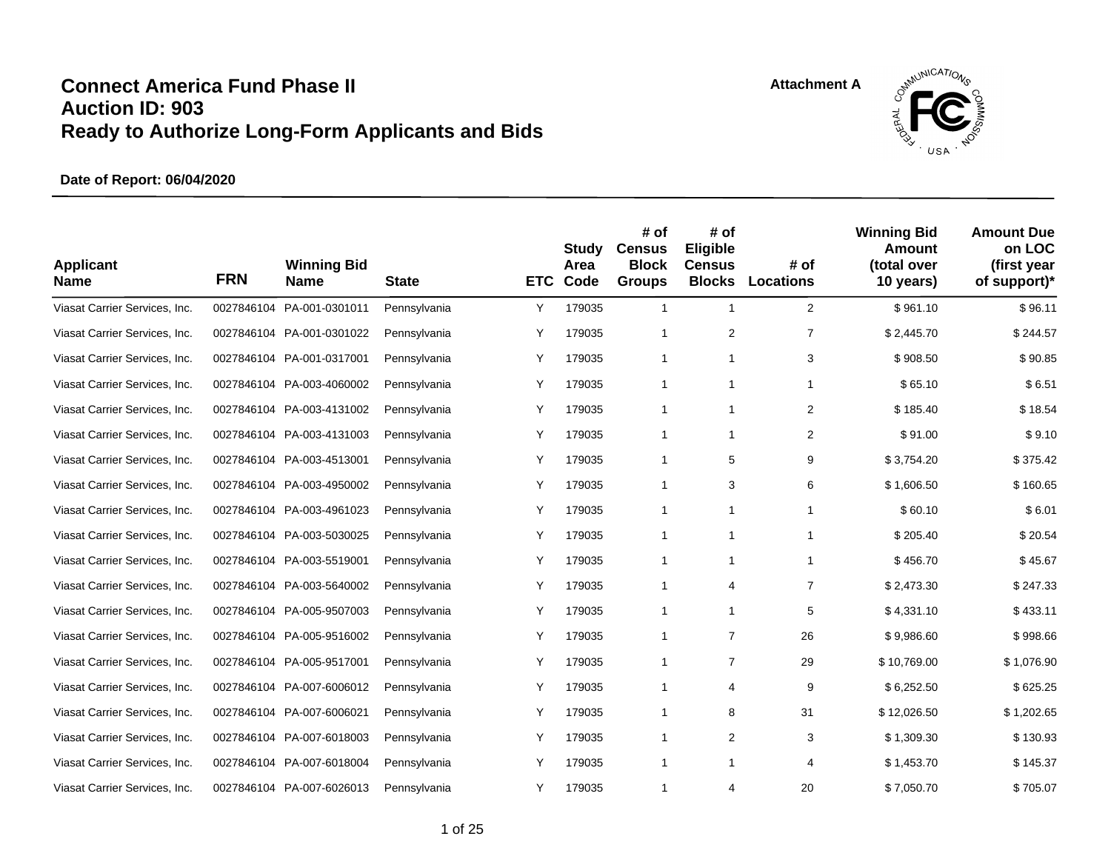

| <b>Applicant</b><br><b>Name</b> | <b>FRN</b> | <b>Winning Bid</b><br><b>Name</b> | <b>State</b> | <b>ETC</b> | Study<br>Area<br>Code | # of<br><b>Census</b><br><b>Block</b><br><b>Groups</b> | # of<br>Eligible<br><b>Census</b><br><b>Blocks</b> | # of<br><b>Locations</b> | <b>Winning Bid</b><br>Amount<br>(total over<br>10 years) | <b>Amount Due</b><br>on LOC<br>(first year<br>of support)* |
|---------------------------------|------------|-----------------------------------|--------------|------------|-----------------------|--------------------------------------------------------|----------------------------------------------------|--------------------------|----------------------------------------------------------|------------------------------------------------------------|
| Viasat Carrier Services, Inc.   | 0027846104 | PA-001-0301011                    | Pennsylvania | Y          | 179035                | $\mathbf{1}$                                           | $\mathbf{1}$                                       | 2                        | \$961.10                                                 | \$96.11                                                    |
| Viasat Carrier Services, Inc.   |            | 0027846104 PA-001-0301022         | Pennsylvania | Y          | 179035                | 1                                                      | $\overline{2}$                                     | $\overline{7}$           | \$2,445.70                                               | \$244.57                                                   |
| Viasat Carrier Services, Inc.   |            | 0027846104 PA-001-0317001         | Pennsylvania | Υ          | 179035                | 1                                                      | $\mathbf{1}$                                       | 3                        | \$908.50                                                 | \$90.85                                                    |
| Viasat Carrier Services, Inc.   |            | 0027846104 PA-003-4060002         | Pennsylvania | Υ          | 179035                | $\mathbf{1}$                                           | $\mathbf{1}$                                       | $\mathbf{1}$             | \$65.10                                                  | \$6.51                                                     |
| Viasat Carrier Services, Inc.   |            | 0027846104 PA-003-4131002         | Pennsylvania | Υ          | 179035                | $\mathbf{1}$                                           | $\mathbf{1}$                                       | $\overline{2}$           | \$185.40                                                 | \$18.54                                                    |
| Viasat Carrier Services, Inc.   |            | 0027846104 PA-003-4131003         | Pennsylvania | Υ          | 179035                | $\mathbf{1}$                                           | $\mathbf{1}$                                       | $\overline{2}$           | \$91.00                                                  | \$9.10                                                     |
| Viasat Carrier Services, Inc.   |            | 0027846104 PA-003-4513001         | Pennsylvania | Υ          | 179035                | 1                                                      | 5                                                  | 9                        | \$3,754.20                                               | \$375.42                                                   |
| Viasat Carrier Services, Inc.   |            | 0027846104 PA-003-4950002         | Pennsylvania | Υ          | 179035                | $\mathbf{1}$                                           | 3                                                  | 6                        | \$1,606.50                                               | \$160.65                                                   |
| Viasat Carrier Services, Inc.   | 0027846104 | PA-003-4961023                    | Pennsylvania | Υ          | 179035                | $\mathbf{1}$                                           | 1                                                  | $\mathbf{1}$             | \$60.10                                                  | \$6.01                                                     |
| Viasat Carrier Services, Inc.   |            | 0027846104 PA-003-5030025         | Pennsylvania | Υ          | 179035                | $\mathbf{1}$                                           | 1                                                  | $\mathbf{1}$             | \$205.40                                                 | \$20.54                                                    |
| Viasat Carrier Services, Inc.   |            | 0027846104 PA-003-5519001         | Pennsylvania | Υ          | 179035                | 1                                                      | 1                                                  | $\mathbf{1}$             | \$456.70                                                 | \$45.67                                                    |
| Viasat Carrier Services, Inc.   |            | 0027846104 PA-003-5640002         | Pennsylvania | Y          | 179035                | $\mathbf{1}$                                           | 4                                                  | $\overline{7}$           | \$2,473.30                                               | \$247.33                                                   |
| Viasat Carrier Services, Inc.   |            | 0027846104 PA-005-9507003         | Pennsylvania | Υ          | 179035                | $\mathbf{1}$                                           | $\mathbf{1}$                                       | 5                        | \$4,331.10                                               | \$433.11                                                   |
| Viasat Carrier Services, Inc.   |            | 0027846104 PA-005-9516002         | Pennsylvania | Υ          | 179035                | 1                                                      | 7                                                  | 26                       | \$9,986.60                                               | \$998.66                                                   |
| Viasat Carrier Services, Inc.   |            | 0027846104 PA-005-9517001         | Pennsylvania | Y          | 179035                | 1                                                      | $\overline{7}$                                     | 29                       | \$10,769.00                                              | \$1,076.90                                                 |
| Viasat Carrier Services, Inc.   |            | 0027846104 PA-007-6006012         | Pennsylvania | Y          | 179035                | 1                                                      | 4                                                  | 9                        | \$6,252.50                                               | \$625.25                                                   |
| Viasat Carrier Services, Inc.   |            | 0027846104 PA-007-6006021         | Pennsylvania | Υ          | 179035                | $\mathbf{1}$                                           | 8                                                  | 31                       | \$12,026.50                                              | \$1,202.65                                                 |
| Viasat Carrier Services, Inc.   |            | 0027846104 PA-007-6018003         | Pennsylvania | Y          | 179035                | 1                                                      | 2                                                  | 3                        | \$1,309.30                                               | \$130.93                                                   |
| Viasat Carrier Services, Inc.   |            | 0027846104 PA-007-6018004         | Pennsylvania | Y          | 179035                | 1                                                      | 1                                                  | 4                        | \$1,453.70                                               | \$145.37                                                   |
| Viasat Carrier Services, Inc.   |            | 0027846104 PA-007-6026013         | Pennsylvania | Y          | 179035                | 1                                                      | 4                                                  | 20                       | \$7,050.70                                               | \$705.07                                                   |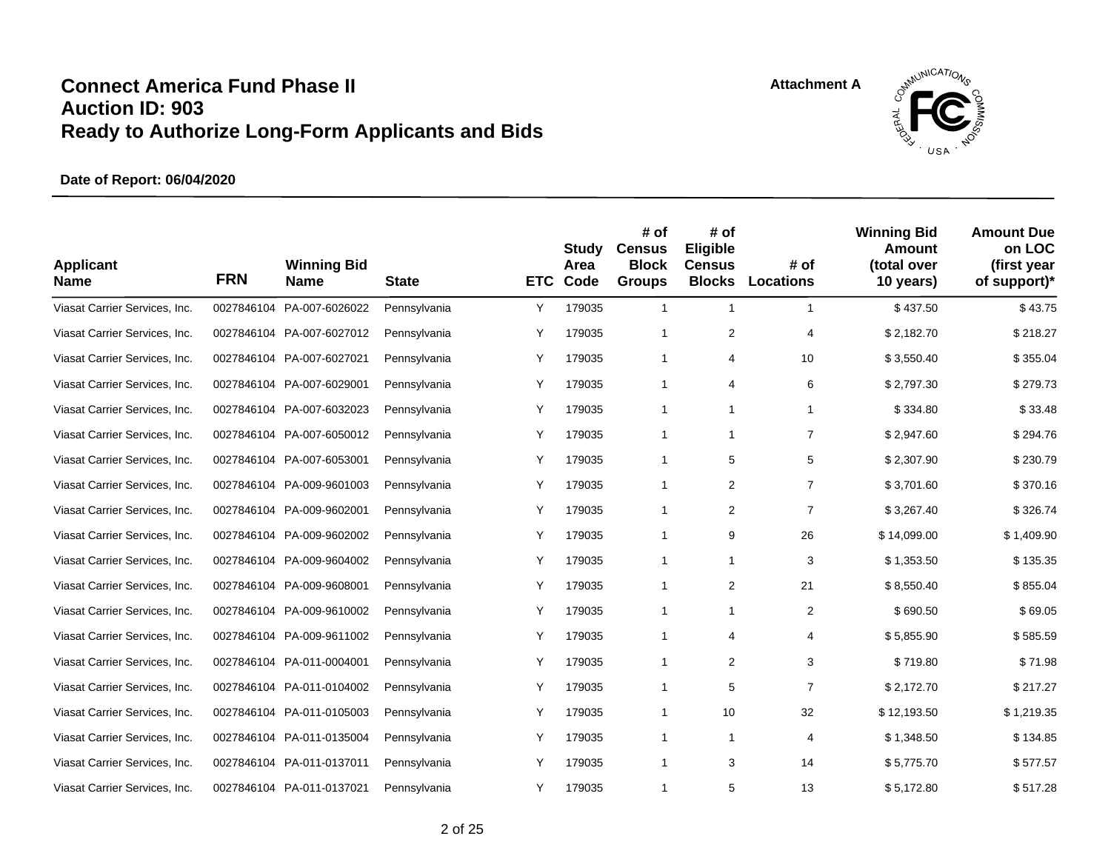

| <b>Applicant</b><br><b>Name</b> | <b>FRN</b> | <b>Winning Bid</b><br><b>Name</b> | <b>State</b> | <b>ETC</b> | <b>Study</b><br>Area<br>Code | # of<br><b>Census</b><br><b>Block</b><br><b>Groups</b> | # of<br>Eligible<br><b>Census</b><br><b>Blocks</b> | # of<br><b>Locations</b> | <b>Winning Bid</b><br>Amount<br>(total over<br>10 years) | <b>Amount Due</b><br>on LOC<br>(first year<br>of support)* |
|---------------------------------|------------|-----------------------------------|--------------|------------|------------------------------|--------------------------------------------------------|----------------------------------------------------|--------------------------|----------------------------------------------------------|------------------------------------------------------------|
| Viasat Carrier Services, Inc.   | 0027846104 | PA-007-6026022                    | Pennsylvania | Υ          | 179035                       | $\mathbf{1}$                                           | $\mathbf{1}$                                       | $\mathbf{1}$             | \$437.50                                                 | \$43.75                                                    |
| Viasat Carrier Services, Inc.   |            | 0027846104 PA-007-6027012         | Pennsylvania | Y          | 179035                       | $\mathbf{1}$                                           | 2                                                  | 4                        | \$2,182.70                                               | \$218.27                                                   |
| Viasat Carrier Services, Inc.   |            | 0027846104 PA-007-6027021         | Pennsylvania | Y          | 179035                       | $\mathbf{1}$                                           | 4                                                  | 10                       | \$3,550.40                                               | \$355.04                                                   |
| Viasat Carrier Services, Inc.   |            | 0027846104 PA-007-6029001         | Pennsylvania | Υ          | 179035                       | $\mathbf{1}$                                           | 4                                                  | 6                        | \$2,797.30                                               | \$279.73                                                   |
| Viasat Carrier Services, Inc.   |            | 0027846104 PA-007-6032023         | Pennsylvania | Υ          | 179035                       | $\mathbf{1}$                                           | $\mathbf{1}$                                       | $\mathbf{1}$             | \$334.80                                                 | \$33.48                                                    |
| Viasat Carrier Services, Inc.   |            | 0027846104 PA-007-6050012         | Pennsylvania | Υ          | 179035                       | $\mathbf{1}$                                           | $\mathbf{1}$                                       | $\overline{7}$           | \$2,947.60                                               | \$294.76                                                   |
| Viasat Carrier Services, Inc.   |            | 0027846104 PA-007-6053001         | Pennsylvania | Υ          | 179035                       | 1                                                      | 5                                                  | 5                        | \$2,307.90                                               | \$230.79                                                   |
| Viasat Carrier Services, Inc.   |            | 0027846104 PA-009-9601003         | Pennsylvania | Y          | 179035                       | 1                                                      | 2                                                  | $\overline{7}$           | \$3.701.60                                               | \$370.16                                                   |
| Viasat Carrier Services, Inc.   | 0027846104 | PA-009-9602001                    | Pennsylvania | Y          | 179035                       | 1                                                      | 2                                                  | $\overline{7}$           | \$3,267.40                                               | \$326.74                                                   |
| Viasat Carrier Services, Inc.   |            | 0027846104 PA-009-9602002         | Pennsylvania | Y          | 179035                       | 1                                                      | 9                                                  | 26                       | \$14,099.00                                              | \$1,409.90                                                 |
| Viasat Carrier Services, Inc.   |            | 0027846104 PA-009-9604002         | Pennsylvania | Υ          | 179035                       | 1                                                      | $\mathbf{1}$                                       | 3                        | \$1,353.50                                               | \$135.35                                                   |
| Viasat Carrier Services, Inc.   |            | 0027846104 PA-009-9608001         | Pennsylvania | Υ          | 179035                       | 1                                                      | $\overline{\mathbf{c}}$                            | 21                       | \$8,550.40                                               | \$855.04                                                   |
| Viasat Carrier Services, Inc.   |            | 0027846104 PA-009-9610002         | Pennsylvania | Υ          | 179035                       | 1                                                      | $\mathbf{1}$                                       | $\overline{2}$           | \$690.50                                                 | \$69.05                                                    |
| Viasat Carrier Services, Inc.   |            | 0027846104 PA-009-9611002         | Pennsylvania | Y          | 179035                       | 1                                                      | 4                                                  | 4                        | \$5,855.90                                               | \$585.59                                                   |
| Viasat Carrier Services, Inc.   |            | 0027846104 PA-011-0004001         | Pennsylvania | Y          | 179035                       | $\mathbf{1}$                                           | 2                                                  | 3                        | \$719.80                                                 | \$71.98                                                    |
| Viasat Carrier Services, Inc.   |            | 0027846104 PA-011-0104002         | Pennsylvania | Υ          | 179035                       | 1                                                      | 5                                                  | $\overline{7}$           | \$2,172.70                                               | \$217.27                                                   |
| Viasat Carrier Services, Inc.   |            | 0027846104 PA-011-0105003         | Pennsylvania | Υ          | 179035                       | $\mathbf{1}$                                           | 10                                                 | 32                       | \$12,193.50                                              | \$1,219.35                                                 |
| Viasat Carrier Services, Inc.   |            | 0027846104 PA-011-0135004         | Pennsylvania | Y          | 179035                       | 1                                                      | $\mathbf{1}$                                       | 4                        | \$1,348.50                                               | \$134.85                                                   |
| Viasat Carrier Services, Inc.   |            | 0027846104 PA-011-0137011         | Pennsylvania | Y          | 179035                       | 1                                                      | 3                                                  | 14                       | \$5,775.70                                               | \$577.57                                                   |
| Viasat Carrier Services, Inc.   |            | 0027846104 PA-011-0137021         | Pennsylvania | Y          | 179035                       | 1                                                      | 5                                                  | 13                       | \$5,172.80                                               | \$517.28                                                   |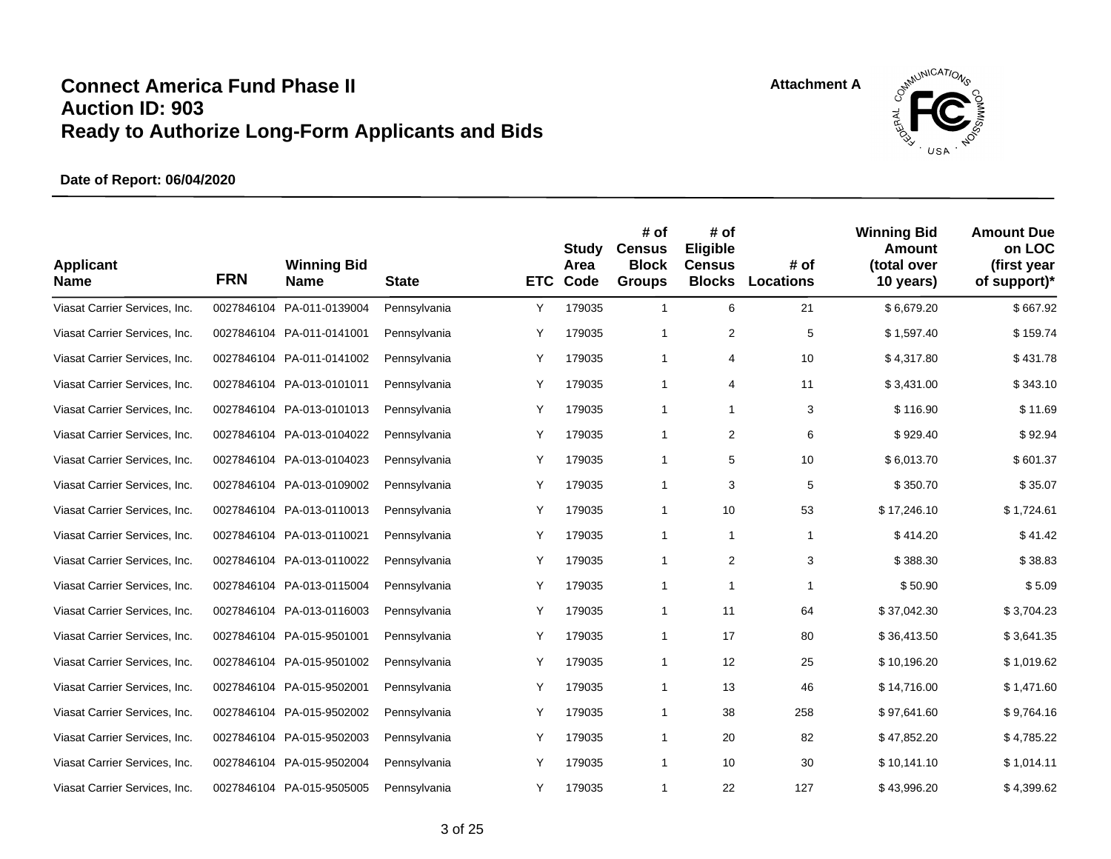

| <b>Applicant</b><br><b>Name</b> | <b>FRN</b> | <b>Winning Bid</b><br><b>Name</b> | <b>State</b> | <b>ETC</b> | Study<br>Area<br>Code | # of<br><b>Census</b><br><b>Block</b><br><b>Groups</b> | # of<br>Eligible<br><b>Census</b><br><b>Blocks</b> | # of<br><b>Locations</b> | <b>Winning Bid</b><br><b>Amount</b><br>(total over<br>10 years) | <b>Amount Due</b><br>on LOC<br>(first year<br>of support)* |
|---------------------------------|------------|-----------------------------------|--------------|------------|-----------------------|--------------------------------------------------------|----------------------------------------------------|--------------------------|-----------------------------------------------------------------|------------------------------------------------------------|
| Viasat Carrier Services, Inc.   | 0027846104 | PA-011-0139004                    | Pennsylvania | Υ          | 179035                | $\mathbf{1}$                                           | 6                                                  | 21                       | \$6,679.20                                                      | \$667.92                                                   |
| Viasat Carrier Services, Inc.   |            | 0027846104 PA-011-0141001         | Pennsylvania | Υ          | 179035                | 1                                                      | $\boldsymbol{2}$                                   | $\,$ 5 $\,$              | \$1,597.40                                                      | \$159.74                                                   |
| Viasat Carrier Services, Inc.   |            | 0027846104 PA-011-0141002         | Pennsylvania | Υ          | 179035                | 1                                                      | 4                                                  | 10                       | \$4,317.80                                                      | \$431.78                                                   |
| Viasat Carrier Services, Inc.   |            | 0027846104 PA-013-0101011         | Pennsylvania | Υ          | 179035                | 1                                                      | 4                                                  | 11                       | \$3,431.00                                                      | \$343.10                                                   |
| Viasat Carrier Services, Inc.   | 0027846104 | PA-013-0101013                    | Pennsylvania | Υ          | 179035                | $\mathbf{1}$                                           | $\mathbf{1}$                                       | 3                        | \$116.90                                                        | \$11.69                                                    |
| Viasat Carrier Services, Inc.   |            | 0027846104 PA-013-0104022         | Pennsylvania | Y          | 179035                | $\mathbf{1}$                                           | 2                                                  | 6                        | \$929.40                                                        | \$92.94                                                    |
| Viasat Carrier Services, Inc.   |            | 0027846104 PA-013-0104023         | Pennsylvania | Y          | 179035                | $\mathbf{1}$                                           | 5                                                  | 10                       | \$6,013.70                                                      | \$601.37                                                   |
| Viasat Carrier Services, Inc.   |            | 0027846104 PA-013-0109002         | Pennsylvania | Υ          | 179035                | $\mathbf{1}$                                           | 3                                                  | 5                        | \$350.70                                                        | \$35.07                                                    |
| Viasat Carrier Services, Inc.   |            | 0027846104 PA-013-0110013         | Pennsylvania | Υ          | 179035                | $\mathbf{1}$                                           | 10                                                 | 53                       | \$17,246.10                                                     | \$1,724.61                                                 |
| Viasat Carrier Services, Inc.   |            | 0027846104 PA-013-0110021         | Pennsylvania | Y          | 179035                | 1                                                      | $\mathbf{1}$                                       | $\mathbf{1}$             | \$414.20                                                        | \$41.42                                                    |
| Viasat Carrier Services, Inc.   |            | 0027846104 PA-013-0110022         | Pennsylvania | Y          | 179035                | 1                                                      | 2                                                  | 3                        | \$388.30                                                        | \$38.83                                                    |
| Viasat Carrier Services, Inc.   |            | 0027846104 PA-013-0115004         | Pennsylvania | Υ          | 179035                | 1                                                      | 1                                                  | 1                        | \$50.90                                                         | \$5.09                                                     |
| Viasat Carrier Services, Inc.   |            | 0027846104 PA-013-0116003         | Pennsylvania | Υ          | 179035                | $\mathbf{1}$                                           | 11                                                 | 64                       | \$37,042.30                                                     | \$3,704.23                                                 |
| Viasat Carrier Services, Inc.   |            | 0027846104 PA-015-9501001         | Pennsylvania | Y          | 179035                | 1                                                      | 17                                                 | 80                       | \$36,413.50                                                     | \$3,641.35                                                 |
| Viasat Carrier Services, Inc.   |            | 0027846104 PA-015-9501002         | Pennsylvania | Υ          | 179035                | 1                                                      | 12                                                 | 25                       | \$10,196.20                                                     | \$1,019.62                                                 |
| Viasat Carrier Services, Inc.   |            | 0027846104 PA-015-9502001         | Pennsylvania | Υ          | 179035                | 1                                                      | 13                                                 | 46                       | \$14.716.00                                                     | \$1,471.60                                                 |
| Viasat Carrier Services, Inc.   |            | 0027846104 PA-015-9502002         | Pennsylvania | Y          | 179035                | $\mathbf{1}$                                           | 38                                                 | 258                      | \$97,641.60                                                     | \$9,764.16                                                 |
| Viasat Carrier Services, Inc.   |            | 0027846104 PA-015-9502003         | Pennsylvania | Υ          | 179035                | $\mathbf{1}$                                           | 20                                                 | 82                       | \$47,852.20                                                     | \$4,785.22                                                 |
| Viasat Carrier Services, Inc.   |            | 0027846104 PA-015-9502004         | Pennsylvania | Y          | 179035                | $\mathbf{1}$                                           | 10                                                 | 30                       | \$10.141.10                                                     | \$1,014.11                                                 |
| Viasat Carrier Services, Inc.   |            | 0027846104 PA-015-9505005         | Pennsylvania | Y          | 179035                | 1                                                      | 22                                                 | 127                      | \$43,996.20                                                     | \$4,399.62                                                 |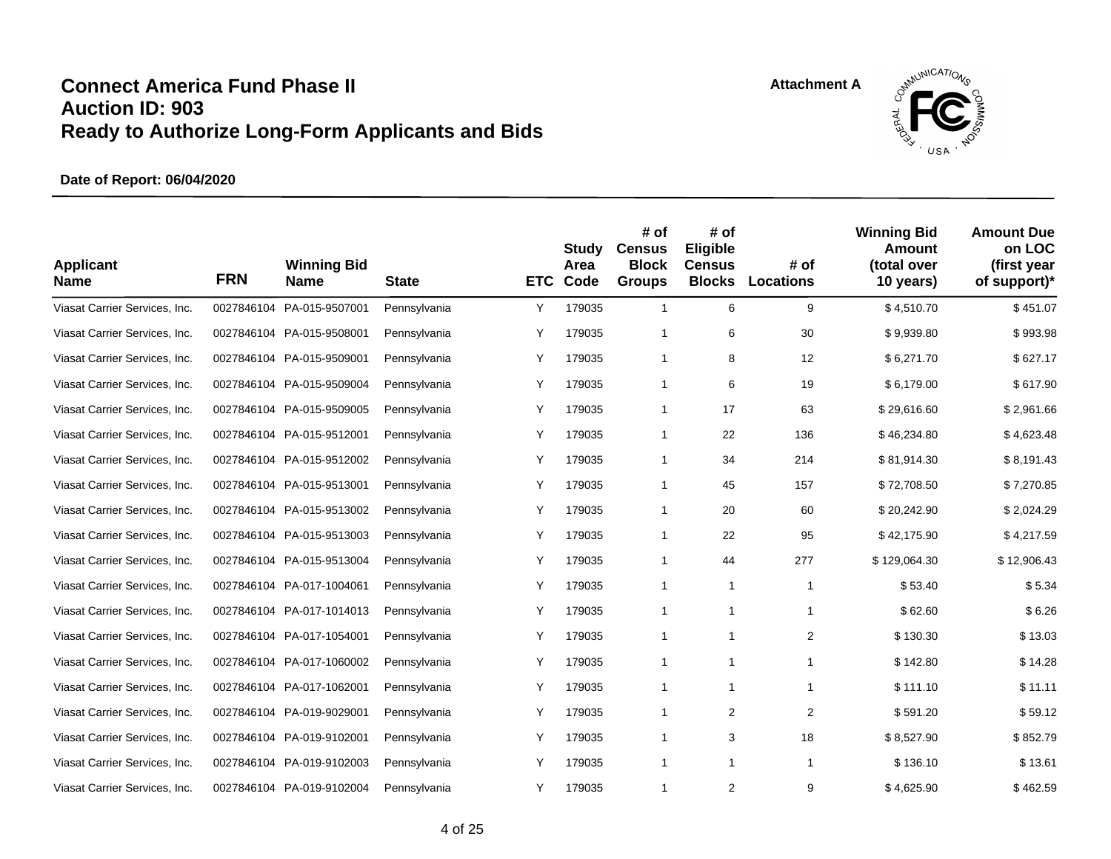

| <b>Applicant</b><br><b>Name</b> | <b>FRN</b> | <b>Winning Bid</b><br><b>Name</b> | <b>State</b> | <b>ETC</b> | Study<br>Area<br>Code | # of<br><b>Census</b><br><b>Block</b><br><b>Groups</b> | # of<br>Eligible<br><b>Census</b><br><b>Blocks</b> | # of<br><b>Locations</b> | <b>Winning Bid</b><br>Amount<br>(total over<br>10 years) | <b>Amount Due</b><br>on LOC<br>(first year<br>of support)* |
|---------------------------------|------------|-----------------------------------|--------------|------------|-----------------------|--------------------------------------------------------|----------------------------------------------------|--------------------------|----------------------------------------------------------|------------------------------------------------------------|
| Viasat Carrier Services, Inc.   | 0027846104 | PA-015-9507001                    | Pennsylvania | Υ          | 179035                | $\mathbf{1}$                                           | 6                                                  | 9                        | \$4,510.70                                               | \$451.07                                                   |
| Viasat Carrier Services, Inc.   |            | 0027846104 PA-015-9508001         | Pennsylvania | Y          | 179035                | 1                                                      | 6                                                  | 30                       | \$9,939.80                                               | \$993.98                                                   |
| Viasat Carrier Services, Inc.   |            | 0027846104 PA-015-9509001         | Pennsylvania | Υ          | 179035                | $\mathbf{1}$                                           | 8                                                  | 12                       | \$6,271.70                                               | \$627.17                                                   |
| Viasat Carrier Services, Inc.   |            | 0027846104 PA-015-9509004         | Pennsylvania | Υ          | 179035                | $\mathbf{1}$                                           | 6                                                  | 19                       | \$6,179.00                                               | \$617.90                                                   |
| Viasat Carrier Services, Inc.   |            | 0027846104 PA-015-9509005         | Pennsylvania | Υ          | 179035                | $\mathbf{1}$                                           | 17                                                 | 63                       | \$29,616.60                                              | \$2,961.66                                                 |
| Viasat Carrier Services, Inc.   |            | 0027846104 PA-015-9512001         | Pennsylvania | Υ          | 179035                | $\mathbf{1}$                                           | 22                                                 | 136                      | \$46,234.80                                              | \$4,623.48                                                 |
| Viasat Carrier Services, Inc.   |            | 0027846104 PA-015-9512002         | Pennsylvania | Υ          | 179035                | 1                                                      | 34                                                 | 214                      | \$81,914.30                                              | \$8,191.43                                                 |
| Viasat Carrier Services, Inc.   |            | 0027846104 PA-015-9513001         | Pennsylvania | Y          | 179035                | 1                                                      | 45                                                 | 157                      | \$72,708.50                                              | \$7,270.85                                                 |
| Viasat Carrier Services, Inc.   |            | 0027846104 PA-015-9513002         | Pennsylvania | Y          | 179035                | $\mathbf{1}$                                           | 20                                                 | 60                       | \$20,242.90                                              | \$2,024.29                                                 |
| Viasat Carrier Services, Inc.   |            | 0027846104 PA-015-9513003         | Pennsylvania | Y          | 179035                | 1                                                      | 22                                                 | 95                       | \$42,175.90                                              | \$4,217.59                                                 |
| Viasat Carrier Services, Inc.   |            | 0027846104 PA-015-9513004         | Pennsylvania | Υ          | 179035                | 1                                                      | 44                                                 | 277                      | \$129,064.30                                             | \$12,906.43                                                |
| Viasat Carrier Services, Inc.   |            | 0027846104 PA-017-1004061         | Pennsylvania | Υ          | 179035                | $\mathbf{1}$                                           | 1                                                  | $\mathbf{1}$             | \$53.40                                                  | \$5.34                                                     |
| Viasat Carrier Services, Inc.   |            | 0027846104 PA-017-1014013         | Pennsylvania | Υ          | 179035                | 1                                                      | 1                                                  | $\mathbf{1}$             | \$62.60                                                  | \$6.26                                                     |
| Viasat Carrier Services, Inc.   |            | 0027846104 PA-017-1054001         | Pennsylvania | Y          | 179035                | 1                                                      | $\mathbf{1}$                                       | $\overline{2}$           | \$130.30                                                 | \$13.03                                                    |
| Viasat Carrier Services, Inc.   |            | 0027846104 PA-017-1060002         | Pennsylvania | Y          | 179035                | $\mathbf{1}$                                           | $\mathbf{1}$                                       | $\mathbf{1}$             | \$142.80                                                 | \$14.28                                                    |
| Viasat Carrier Services, Inc.   |            | 0027846104 PA-017-1062001         | Pennsylvania | Υ          | 179035                | $\mathbf{1}$                                           | $\mathbf{1}$                                       | $\mathbf{1}$             | \$111.10                                                 | \$11.11                                                    |
| Viasat Carrier Services, Inc.   |            | 0027846104 PA-019-9029001         | Pennsylvania | Υ          | 179035                | $\mathbf{1}$                                           | 2                                                  | $\overline{2}$           | \$591.20                                                 | \$59.12                                                    |
| Viasat Carrier Services, Inc.   |            | 0027846104 PA-019-9102001         | Pennsylvania | Y          | 179035                | 1                                                      | 3                                                  | 18                       | \$8,527.90                                               | \$852.79                                                   |
| Viasat Carrier Services, Inc.   |            | 0027846104 PA-019-9102003         | Pennsylvania | Y          | 179035                | 1                                                      | $\mathbf{1}$                                       | $\mathbf{1}$             | \$136.10                                                 | \$13.61                                                    |
| Viasat Carrier Services, Inc.   |            | 0027846104 PA-019-9102004         | Pennsylvania | Y          | 179035                | 1                                                      | $\overline{2}$                                     | 9                        | \$4,625.90                                               | \$462.59                                                   |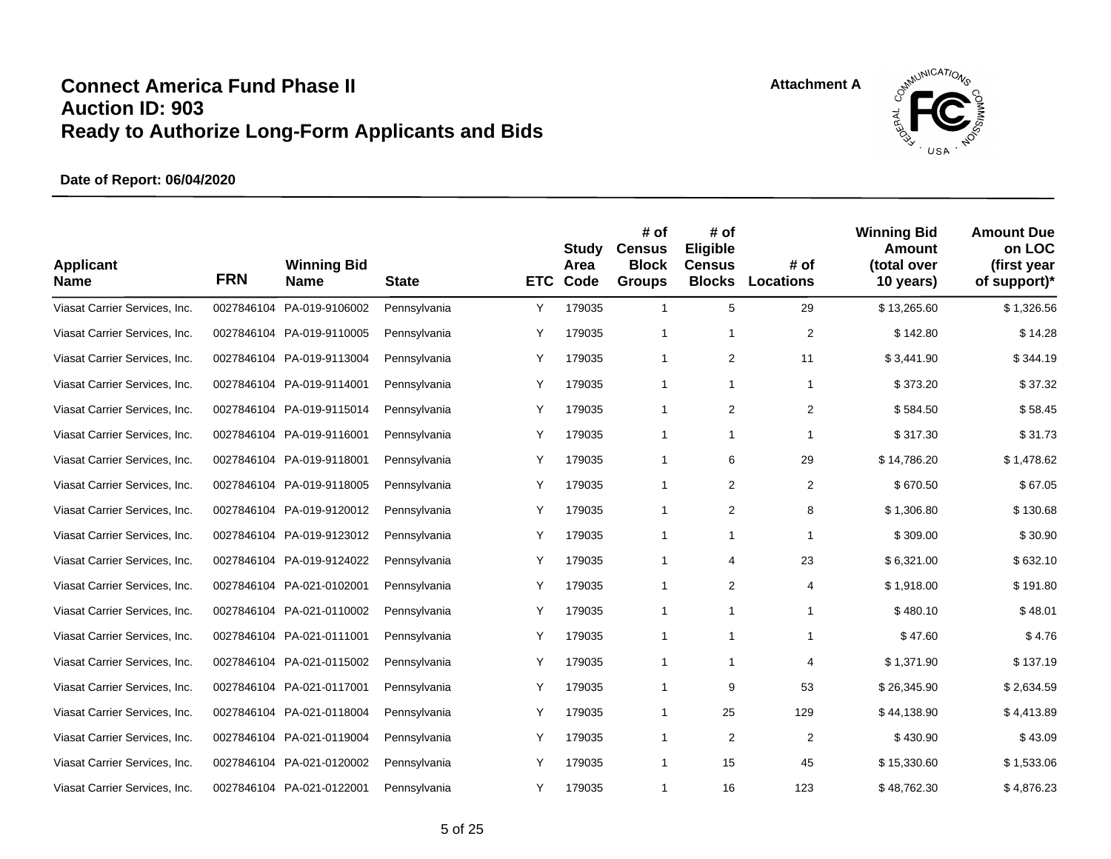

| <b>Applicant</b><br><b>Name</b> | <b>FRN</b> | <b>Winning Bid</b><br><b>Name</b> | <b>State</b> | <b>ETC</b> | <b>Study</b><br>Area<br>Code | # of<br><b>Census</b><br><b>Block</b><br><b>Groups</b> | # of<br>Eligible<br><b>Census</b><br><b>Blocks</b> | # of<br><b>Locations</b> | <b>Winning Bid</b><br>Amount<br>(total over<br>10 years) | <b>Amount Due</b><br>on LOC<br>(first year<br>of support)* |
|---------------------------------|------------|-----------------------------------|--------------|------------|------------------------------|--------------------------------------------------------|----------------------------------------------------|--------------------------|----------------------------------------------------------|------------------------------------------------------------|
| Viasat Carrier Services, Inc.   | 0027846104 | PA-019-9106002                    | Pennsylvania | Υ          | 179035                       | $\mathbf{1}$                                           | 5                                                  | 29                       | \$13,265.60                                              | \$1,326.56                                                 |
| Viasat Carrier Services, Inc.   |            | 0027846104 PA-019-9110005         | Pennsylvania | Y          | 179035                       | $\mathbf{1}$                                           | $\mathbf{1}$                                       | $\overline{2}$           | \$142.80                                                 | \$14.28                                                    |
| Viasat Carrier Services, Inc.   |            | 0027846104 PA-019-9113004         | Pennsylvania | Y          | 179035                       | $\mathbf{1}$                                           | 2                                                  | 11                       | \$3,441.90                                               | \$344.19                                                   |
| Viasat Carrier Services, Inc.   |            | 0027846104 PA-019-9114001         | Pennsylvania | Υ          | 179035                       | $\mathbf{1}$                                           | $\mathbf{1}$                                       | $\mathbf{1}$             | \$373.20                                                 | \$37.32                                                    |
| Viasat Carrier Services, Inc.   |            | 0027846104 PA-019-9115014         | Pennsylvania | Υ          | 179035                       | $\mathbf{1}$                                           | $\overline{2}$                                     | $\overline{2}$           | \$584.50                                                 | \$58.45                                                    |
| Viasat Carrier Services, Inc.   |            | 0027846104 PA-019-9116001         | Pennsylvania | Υ          | 179035                       | $\mathbf{1}$                                           | $\mathbf{1}$                                       | 1                        | \$317.30                                                 | \$31.73                                                    |
| Viasat Carrier Services, Inc.   |            | 0027846104 PA-019-9118001         | Pennsylvania | Υ          | 179035                       | 1                                                      | 6                                                  | 29                       | \$14,786.20                                              | \$1,478.62                                                 |
| Viasat Carrier Services, Inc.   |            | 0027846104 PA-019-9118005         | Pennsylvania | Y          | 179035                       | 1                                                      | 2                                                  | $\overline{2}$           | \$670.50                                                 | \$67.05                                                    |
| Viasat Carrier Services, Inc.   |            | 0027846104 PA-019-9120012         | Pennsylvania | Y          | 179035                       | $\mathbf{1}$                                           | 2                                                  | 8                        | \$1,306.80                                               | \$130.68                                                   |
| Viasat Carrier Services, Inc.   |            | 0027846104 PA-019-9123012         | Pennsylvania | Y          | 179035                       | 1                                                      | 1                                                  | $\mathbf{1}$             | \$309.00                                                 | \$30.90                                                    |
| Viasat Carrier Services, Inc.   |            | 0027846104 PA-019-9124022         | Pennsylvania | Υ          | 179035                       | 1                                                      | 4                                                  | 23                       | \$6,321.00                                               | \$632.10                                                   |
| Viasat Carrier Services, Inc.   |            | 0027846104 PA-021-0102001         | Pennsylvania | Υ          | 179035                       | 1                                                      | $\overline{2}$                                     | 4                        | \$1,918.00                                               | \$191.80                                                   |
| Viasat Carrier Services, Inc.   |            | 0027846104 PA-021-0110002         | Pennsylvania | Υ          | 179035                       | 1                                                      | 1                                                  | $\mathbf{1}$             | \$480.10                                                 | \$48.01                                                    |
| Viasat Carrier Services, Inc.   |            | 0027846104 PA-021-0111001         | Pennsylvania | Y          | 179035                       | 1                                                      | $\mathbf{1}$                                       | $\mathbf{1}$             | \$47.60                                                  | \$4.76                                                     |
| Viasat Carrier Services, Inc.   |            | 0027846104 PA-021-0115002         | Pennsylvania | Y          | 179035                       | $\mathbf{1}$                                           | 1                                                  | 4                        | \$1,371.90                                               | \$137.19                                                   |
| Viasat Carrier Services, Inc.   |            | 0027846104 PA-021-0117001         | Pennsylvania | Υ          | 179035                       | $\mathbf{1}$                                           | 9                                                  | 53                       | \$26,345.90                                              | \$2,634.59                                                 |
| Viasat Carrier Services, Inc.   |            | 0027846104 PA-021-0118004         | Pennsylvania | Υ          | 179035                       | $\mathbf{1}$                                           | 25                                                 | 129                      | \$44,138.90                                              | \$4,413.89                                                 |
| Viasat Carrier Services, Inc.   |            | 0027846104 PA-021-0119004         | Pennsylvania | Υ          | 179035                       | 1                                                      | $\overline{2}$                                     | $\overline{2}$           | \$430.90                                                 | \$43.09                                                    |
| Viasat Carrier Services, Inc.   |            | 0027846104 PA-021-0120002         | Pennsylvania | Y          | 179035                       | 1                                                      | 15                                                 | 45                       | \$15,330.60                                              | \$1,533.06                                                 |
| Viasat Carrier Services, Inc.   |            | 0027846104 PA-021-0122001         | Pennsylvania | Y          | 179035                       | 1                                                      | 16                                                 | 123                      | \$48,762.30                                              | \$4,876.23                                                 |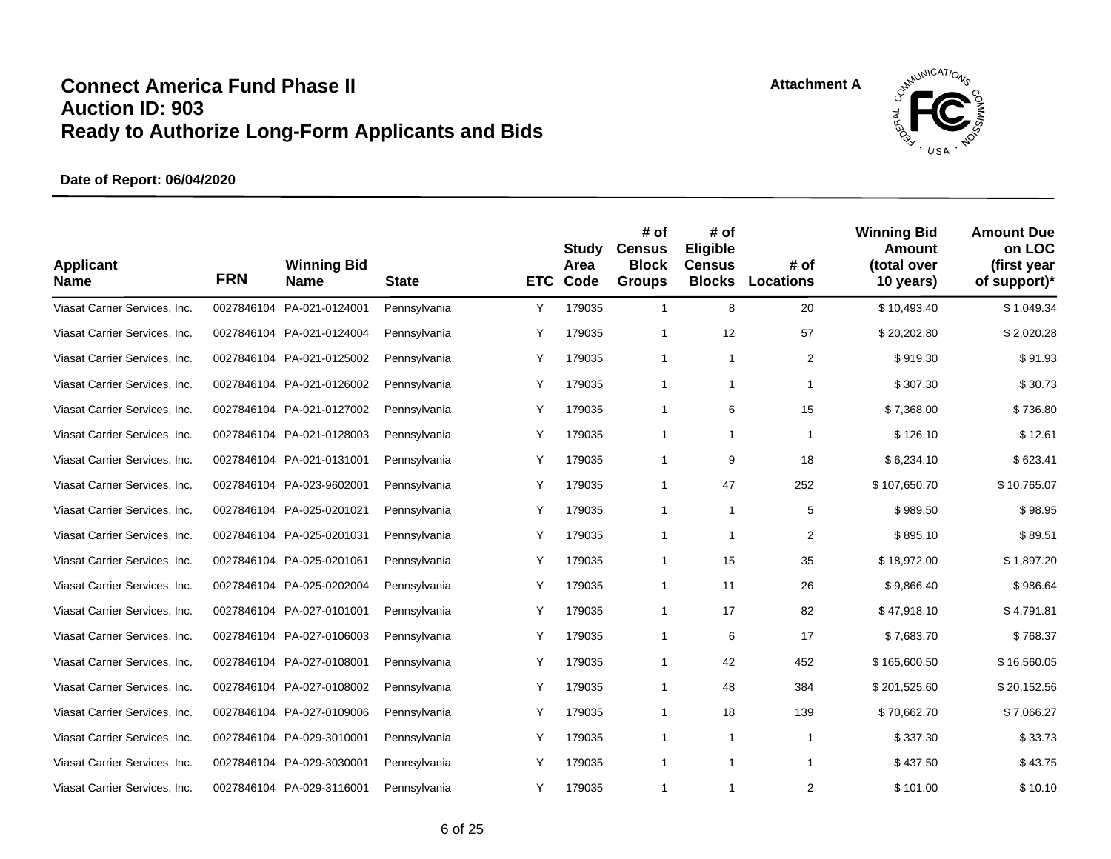

| <b>Applicant</b><br><b>Name</b> | <b>FRN</b> | <b>Winning Bid</b><br><b>Name</b> | <b>State</b> | <b>ETC</b> | <b>Study</b><br>Area<br>Code | # of<br><b>Census</b><br><b>Block</b><br><b>Groups</b> | # of<br>Eligible<br><b>Census</b><br><b>Blocks</b> | # of<br><b>Locations</b> | <b>Winning Bid</b><br><b>Amount</b><br>(total over<br>10 years) | <b>Amount Due</b><br>on LOC<br>(first year<br>of support)* |
|---------------------------------|------------|-----------------------------------|--------------|------------|------------------------------|--------------------------------------------------------|----------------------------------------------------|--------------------------|-----------------------------------------------------------------|------------------------------------------------------------|
| Viasat Carrier Services, Inc.   | 0027846104 | PA-021-0124001                    | Pennsylvania | Υ          | 179035                       | $\mathbf{1}$                                           | 8                                                  | 20                       | \$10,493.40                                                     | \$1,049.34                                                 |
| Viasat Carrier Services, Inc.   |            | 0027846104 PA-021-0124004         | Pennsylvania | Y          | 179035                       | 1                                                      | 12                                                 | 57                       | \$20,202.80                                                     | \$2,020.28                                                 |
| Viasat Carrier Services, Inc.   |            | 0027846104 PA-021-0125002         | Pennsylvania | Υ          | 179035                       | $\mathbf{1}$                                           | $\mathbf{1}$                                       | $\overline{2}$           | \$919.30                                                        | \$91.93                                                    |
| Viasat Carrier Services, Inc.   |            | 0027846104 PA-021-0126002         | Pennsylvania | Υ          | 179035                       | $\mathbf{1}$                                           | $\mathbf{1}$                                       | $\mathbf{1}$             | \$307.30                                                        | \$30.73                                                    |
| Viasat Carrier Services, Inc.   |            | 0027846104 PA-021-0127002         | Pennsylvania | Υ          | 179035                       | $\mathbf{1}$                                           | 6                                                  | 15                       | \$7,368.00                                                      | \$736.80                                                   |
| Viasat Carrier Services, Inc.   |            | 0027846104 PA-021-0128003         | Pennsylvania | Υ          | 179035                       | $\mathbf{1}$                                           | $\mathbf{1}$                                       | 1                        | \$126.10                                                        | \$12.61                                                    |
| Viasat Carrier Services, Inc.   |            | 0027846104 PA-021-0131001         | Pennsylvania | Υ          | 179035                       | 1                                                      | 9                                                  | 18                       | \$6,234.10                                                      | \$623.41                                                   |
| Viasat Carrier Services, Inc.   |            | 0027846104 PA-023-9602001         | Pennsylvania | Y          | 179035                       | $\mathbf{1}$                                           | 47                                                 | 252                      | \$107.650.70                                                    | \$10,765.07                                                |
| Viasat Carrier Services, Inc.   | 0027846104 | PA-025-0201021                    | Pennsylvania | Y          | 179035                       | $\mathbf{1}$                                           | $\mathbf{1}$                                       | 5                        | \$989.50                                                        | \$98.95                                                    |
| Viasat Carrier Services, Inc.   |            | 0027846104 PA-025-0201031         | Pennsylvania | Y          | 179035                       | 1                                                      | 1                                                  | 2                        | \$895.10                                                        | \$89.51                                                    |
| Viasat Carrier Services, Inc.   |            | 0027846104 PA-025-0201061         | Pennsylvania | Υ          | 179035                       | 1                                                      | 15                                                 | 35                       | \$18,972.00                                                     | \$1,897.20                                                 |
| Viasat Carrier Services, Inc.   |            | 0027846104 PA-025-0202004         | Pennsylvania | Υ          | 179035                       | 1                                                      | 11                                                 | 26                       | \$9,866.40                                                      | \$986.64                                                   |
| Viasat Carrier Services, Inc.   |            | 0027846104 PA-027-0101001         | Pennsylvania | Υ          | 179035                       | 1                                                      | 17                                                 | 82                       | \$47,918.10                                                     | \$4,791.81                                                 |
| Viasat Carrier Services, Inc.   |            | 0027846104 PA-027-0106003         | Pennsylvania | Y          | 179035                       | 1                                                      | 6                                                  | 17                       | \$7,683.70                                                      | \$768.37                                                   |
| Viasat Carrier Services, Inc.   |            | 0027846104 PA-027-0108001         | Pennsylvania | Y          | 179035                       | 1                                                      | 42                                                 | 452                      | \$165,600.50                                                    | \$16,560.05                                                |
| Viasat Carrier Services, Inc.   |            | 0027846104 PA-027-0108002         | Pennsylvania | Υ          | 179035                       | 1                                                      | 48                                                 | 384                      | \$201,525.60                                                    | \$20,152.56                                                |
| Viasat Carrier Services, Inc.   | 0027846104 | PA-027-0109006                    | Pennsylvania | Υ          | 179035                       | $\mathbf{1}$                                           | 18                                                 | 139                      | \$70,662.70                                                     | \$7,066.27                                                 |
| Viasat Carrier Services, Inc.   |            | 0027846104 PA-029-3010001         | Pennsylvania | Y          | 179035                       | 1                                                      | $\mathbf{1}$                                       | $\mathbf{1}$             | \$337.30                                                        | \$33.73                                                    |
| Viasat Carrier Services, Inc.   |            | 0027846104 PA-029-3030001         | Pennsylvania | Y          | 179035                       | 1                                                      | $\mathbf{1}$                                       | $\mathbf{1}$             | \$437.50                                                        | \$43.75                                                    |
| Viasat Carrier Services, Inc.   |            | 0027846104 PA-029-3116001         | Pennsylvania | Y          | 179035                       | 1                                                      | 1                                                  | $\overline{2}$           | \$101.00                                                        | \$10.10                                                    |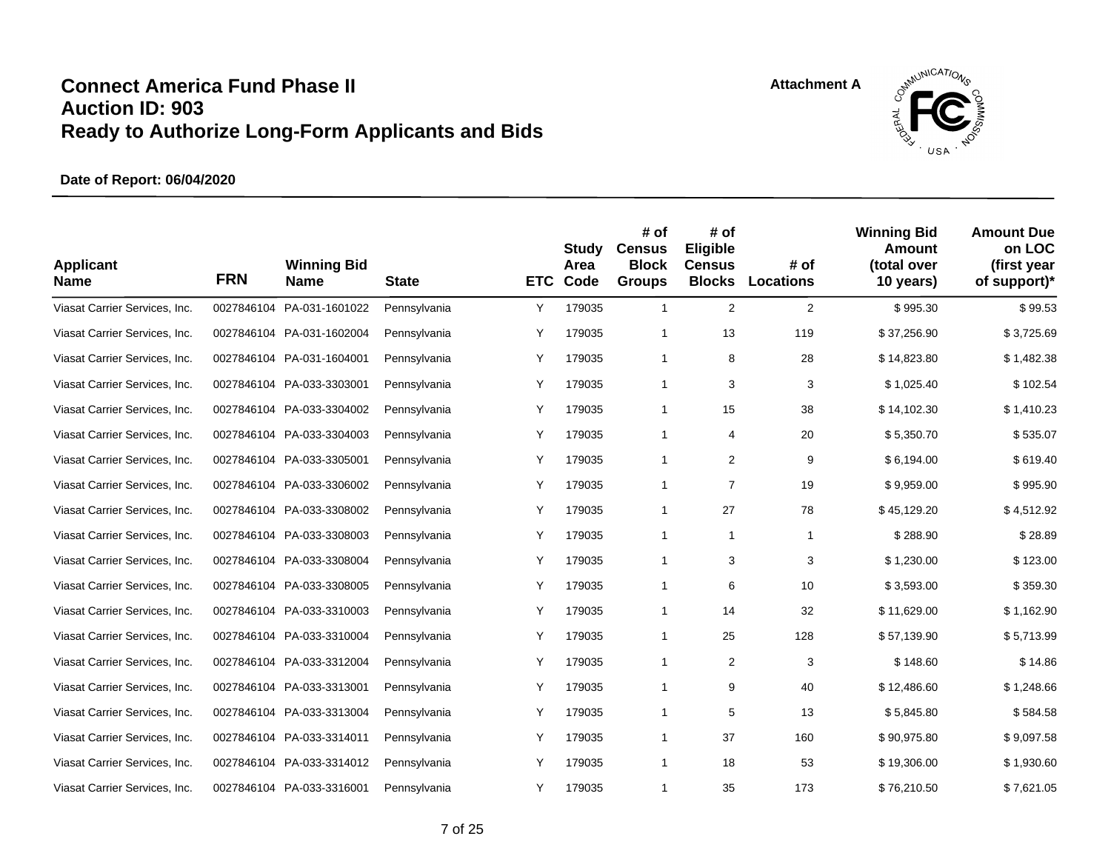

| <b>Applicant</b><br><b>Name</b> | <b>FRN</b> | <b>Winning Bid</b><br><b>Name</b> | <b>State</b> | <b>ETC</b> | Study<br>Area<br>Code | # of<br><b>Census</b><br><b>Block</b><br><b>Groups</b> | # of<br>Eligible<br><b>Census</b><br><b>Blocks</b> | # of<br><b>Locations</b> | <b>Winning Bid</b><br><b>Amount</b><br>(total over<br>10 years) | <b>Amount Due</b><br>on LOC<br>(first year<br>of support)* |
|---------------------------------|------------|-----------------------------------|--------------|------------|-----------------------|--------------------------------------------------------|----------------------------------------------------|--------------------------|-----------------------------------------------------------------|------------------------------------------------------------|
| Viasat Carrier Services, Inc.   | 0027846104 | PA-031-1601022                    | Pennsylvania | Y          | 179035                | $\mathbf{1}$                                           | 2                                                  | 2                        | \$995.30                                                        | \$99.53                                                    |
| Viasat Carrier Services, Inc.   |            | 0027846104 PA-031-1602004         | Pennsylvania | Y          | 179035                | 1                                                      | 13                                                 | 119                      | \$37,256.90                                                     | \$3,725.69                                                 |
| Viasat Carrier Services, Inc.   |            | 0027846104 PA-031-1604001         | Pennsylvania | Y          | 179035                | 1                                                      | 8                                                  | 28                       | \$14,823.80                                                     | \$1,482.38                                                 |
| Viasat Carrier Services, Inc.   |            | 0027846104 PA-033-3303001         | Pennsylvania | Υ          | 179035                | $\mathbf{1}$                                           | 3                                                  | 3                        | \$1,025.40                                                      | \$102.54                                                   |
| Viasat Carrier Services, Inc.   |            | 0027846104 PA-033-3304002         | Pennsylvania | Υ          | 179035                | $\mathbf{1}$                                           | 15                                                 | 38                       | \$14,102.30                                                     | \$1,410.23                                                 |
| Viasat Carrier Services, Inc.   |            | 0027846104 PA-033-3304003         | Pennsylvania | Y          | 179035                | $\mathbf{1}$                                           | 4                                                  | 20                       | \$5,350.70                                                      | \$535.07                                                   |
| Viasat Carrier Services, Inc.   |            | 0027846104 PA-033-3305001         | Pennsylvania | Υ          | 179035                | 1                                                      | 2                                                  | 9                        | \$6,194.00                                                      | \$619.40                                                   |
| Viasat Carrier Services, Inc.   |            | 0027846104 PA-033-3306002         | Pennsylvania | Υ          | 179035                | 1                                                      | $\overline{7}$                                     | 19                       | \$9,959.00                                                      | \$995.90                                                   |
| Viasat Carrier Services, Inc.   | 0027846104 | PA-033-3308002                    | Pennsylvania | Υ          | 179035                | $\mathbf{1}$                                           | 27                                                 | 78                       | \$45,129.20                                                     | \$4,512.92                                                 |
| Viasat Carrier Services, Inc.   |            | 0027846104 PA-033-3308003         | Pennsylvania | Υ          | 179035                | $\mathbf{1}$                                           | $\mathbf{1}$                                       | $\mathbf{1}$             | \$288.90                                                        | \$28.89                                                    |
| Viasat Carrier Services, Inc.   |            | 0027846104 PA-033-3308004         | Pennsylvania | Υ          | 179035                | 1                                                      | 3                                                  | 3                        | \$1,230.00                                                      | \$123.00                                                   |
| Viasat Carrier Services, Inc.   |            | 0027846104 PA-033-3308005         | Pennsylvania | Y          | 179035                | $\mathbf{1}$                                           | 6                                                  | 10                       | \$3,593.00                                                      | \$359.30                                                   |
| Viasat Carrier Services, Inc.   |            | 0027846104 PA-033-3310003         | Pennsylvania | Υ          | 179035                | $\mathbf{1}$                                           | 14                                                 | 32                       | \$11,629.00                                                     | \$1,162.90                                                 |
| Viasat Carrier Services, Inc.   |            | 0027846104 PA-033-3310004         | Pennsylvania | Υ          | 179035                | 1                                                      | 25                                                 | 128                      | \$57,139.90                                                     | \$5,713.99                                                 |
| Viasat Carrier Services, Inc.   |            | 0027846104 PA-033-3312004         | Pennsylvania | Y          | 179035                | 1                                                      | 2                                                  | 3                        | \$148.60                                                        | \$14.86                                                    |
| Viasat Carrier Services, Inc.   |            | 0027846104 PA-033-3313001         | Pennsylvania | Y          | 179035                | 1                                                      | 9                                                  | 40                       | \$12,486.60                                                     | \$1,248.66                                                 |
| Viasat Carrier Services, Inc.   | 0027846104 | PA-033-3313004                    | Pennsylvania | Υ          | 179035                | 1                                                      | 5                                                  | 13                       | \$5,845.80                                                      | \$584.58                                                   |
| Viasat Carrier Services, Inc.   |            | 0027846104 PA-033-3314011         | Pennsylvania | Y          | 179035                | 1                                                      | 37                                                 | 160                      | \$90,975.80                                                     | \$9,097.58                                                 |
| Viasat Carrier Services, Inc.   |            | 0027846104 PA-033-3314012         | Pennsylvania | Υ          | 179035                | 1                                                      | 18                                                 | 53                       | \$19,306.00                                                     | \$1,930.60                                                 |
| Viasat Carrier Services, Inc.   |            | 0027846104 PA-033-3316001         | Pennsylvania | Y          | 179035                | 1                                                      | 35                                                 | 173                      | \$76,210.50                                                     | \$7,621.05                                                 |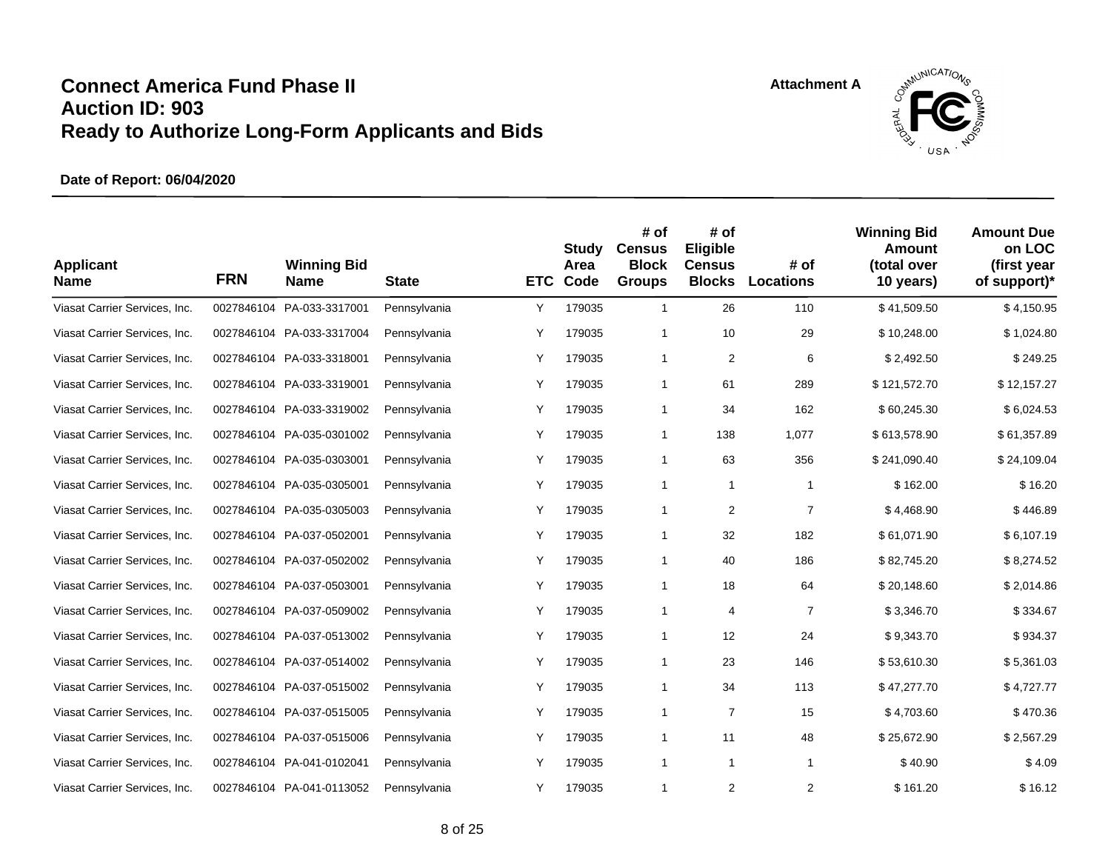

| <b>Applicant</b><br><b>Name</b> | <b>FRN</b> | <b>Winning Bid</b><br><b>Name</b> | <b>State</b> | <b>ETC</b> | Study<br>Area<br>Code | # of<br><b>Census</b><br><b>Block</b><br><b>Groups</b> | # of<br>Eligible<br><b>Census</b><br><b>Blocks</b> | # of<br><b>Locations</b> | <b>Winning Bid</b><br>Amount<br>(total over<br>10 years) | <b>Amount Due</b><br>on LOC<br>(first year<br>of support)* |
|---------------------------------|------------|-----------------------------------|--------------|------------|-----------------------|--------------------------------------------------------|----------------------------------------------------|--------------------------|----------------------------------------------------------|------------------------------------------------------------|
| Viasat Carrier Services, Inc.   | 0027846104 | PA-033-3317001                    | Pennsylvania | Υ          | 179035                | $\mathbf{1}$                                           | 26                                                 | 110                      | \$41,509.50                                              | \$4,150.95                                                 |
| Viasat Carrier Services, Inc.   |            | 0027846104 PA-033-3317004         | Pennsylvania | Υ          | 179035                | 1                                                      | 10                                                 | 29                       | \$10,248.00                                              | \$1,024.80                                                 |
| Viasat Carrier Services, Inc.   |            | 0027846104 PA-033-3318001         | Pennsylvania | Υ          | 179035                | $\mathbf{1}$                                           | $\overline{2}$                                     | 6                        | \$2,492.50                                               | \$249.25                                                   |
| Viasat Carrier Services, Inc.   |            | 0027846104 PA-033-3319001         | Pennsylvania | Υ          | 179035                | $\mathbf{1}$                                           | 61                                                 | 289                      | \$121,572.70                                             | \$12,157.27                                                |
| Viasat Carrier Services, Inc.   |            | 0027846104 PA-033-3319002         | Pennsylvania | Υ          | 179035                | $\mathbf{1}$                                           | 34                                                 | 162                      | \$60,245.30                                              | \$6,024.53                                                 |
| Viasat Carrier Services, Inc.   |            | 0027846104 PA-035-0301002         | Pennsylvania | Υ          | 179035                | $\mathbf{1}$                                           | 138                                                | 1,077                    | \$613,578.90                                             | \$61,357.89                                                |
| Viasat Carrier Services, Inc.   |            | 0027846104 PA-035-0303001         | Pennsylvania | Υ          | 179035                | $\mathbf{1}$                                           | 63                                                 | 356                      | \$241,090.40                                             | \$24,109.04                                                |
| Viasat Carrier Services, Inc.   |            | 0027846104 PA-035-0305001         | Pennsylvania | Υ          | 179035                | $\mathbf{1}$                                           | $\mathbf{1}$                                       | $\mathbf{1}$             | \$162.00                                                 | \$16.20                                                    |
| Viasat Carrier Services, Inc.   | 0027846104 | PA-035-0305003                    | Pennsylvania | Υ          | 179035                | $\mathbf{1}$                                           | 2                                                  | $\overline{7}$           | \$4,468.90                                               | \$446.89                                                   |
| Viasat Carrier Services, Inc.   |            | 0027846104 PA-037-0502001         | Pennsylvania | Υ          | 179035                | 1                                                      | 32                                                 | 182                      | \$61,071.90                                              | \$6,107.19                                                 |
| Viasat Carrier Services, Inc.   |            | 0027846104 PA-037-0502002         | Pennsylvania | Υ          | 179035                | 1                                                      | 40                                                 | 186                      | \$82,745.20                                              | \$8,274.52                                                 |
| Viasat Carrier Services, Inc.   |            | 0027846104 PA-037-0503001         | Pennsylvania | Υ          | 179035                | 1                                                      | 18                                                 | 64                       | \$20,148.60                                              | \$2,014.86                                                 |
| Viasat Carrier Services, Inc.   |            | 0027846104 PA-037-0509002         | Pennsylvania | Υ          | 179035                | 1                                                      | 4                                                  | $\overline{7}$           | \$3,346.70                                               | \$334.67                                                   |
| Viasat Carrier Services, Inc.   |            | 0027846104 PA-037-0513002         | Pennsylvania | Y          | 179035                | 1                                                      | 12                                                 | 24                       | \$9,343.70                                               | \$934.37                                                   |
| Viasat Carrier Services, Inc.   |            | 0027846104 PA-037-0514002         | Pennsylvania | Y          | 179035                | 1                                                      | 23                                                 | 146                      | \$53,610.30                                              | \$5,361.03                                                 |
| Viasat Carrier Services, Inc.   |            | 0027846104 PA-037-0515002         | Pennsylvania | Υ          | 179035                | $\mathbf{1}$                                           | 34                                                 | 113                      | \$47,277.70                                              | \$4,727.77                                                 |
| Viasat Carrier Services, Inc.   |            | 0027846104 PA-037-0515005         | Pennsylvania | Υ          | 179035                | $\mathbf{1}$                                           | $\overline{7}$                                     | 15                       | \$4,703.60                                               | \$470.36                                                   |
| Viasat Carrier Services, Inc.   |            | 0027846104 PA-037-0515006         | Pennsylvania | Υ          | 179035                | 1                                                      | 11                                                 | 48                       | \$25,672.90                                              | \$2,567.29                                                 |
| Viasat Carrier Services, Inc.   |            | 0027846104 PA-041-0102041         | Pennsylvania | Y          | 179035                | 1                                                      | $\mathbf{1}$                                       | $\mathbf{1}$             | \$40.90                                                  | \$4.09                                                     |
| Viasat Carrier Services, Inc.   |            | 0027846104 PA-041-0113052         | Pennsylvania | Y          | 179035                | 1                                                      | $\overline{2}$                                     | $\overline{2}$           | \$161.20                                                 | \$16.12                                                    |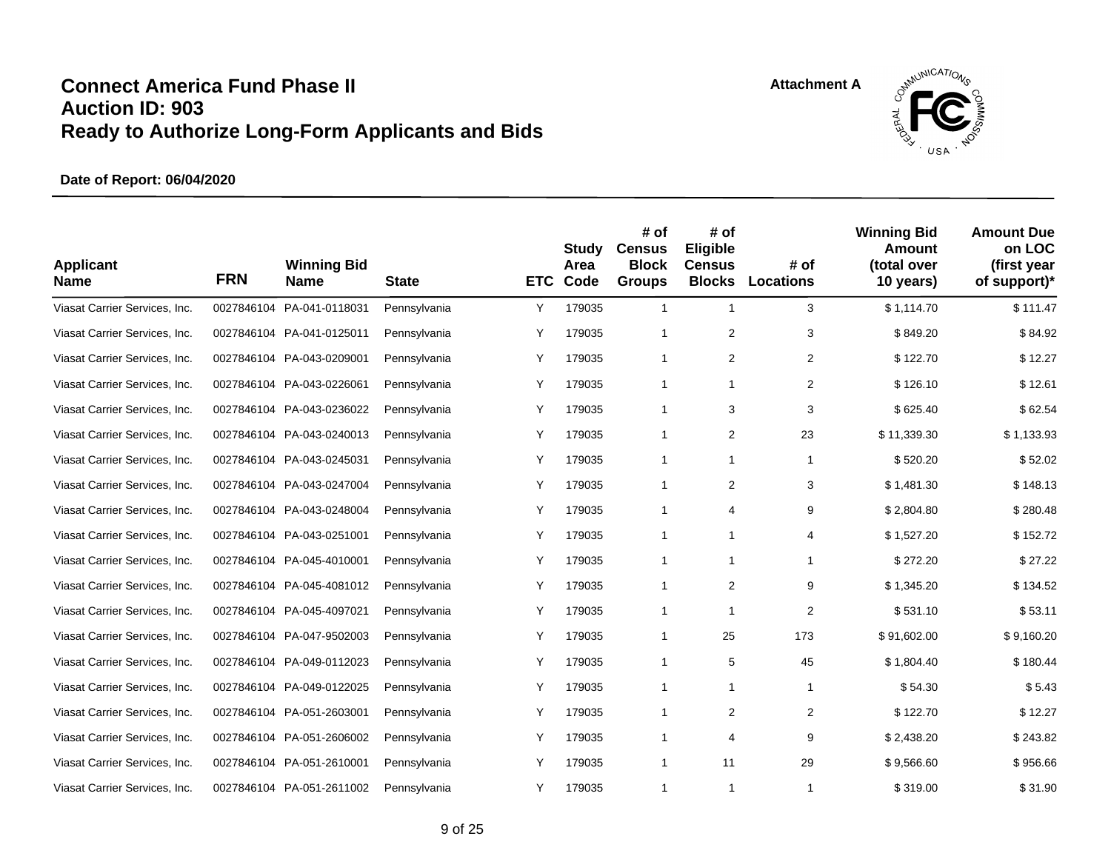

| <b>Applicant</b><br><b>Name</b> | <b>FRN</b> | <b>Winning Bid</b><br><b>Name</b> | <b>State</b> | <b>ETC</b> | Study<br>Area<br>Code | # of<br><b>Census</b><br><b>Block</b><br><b>Groups</b> | # of<br>Eligible<br><b>Census</b><br><b>Blocks</b> | # of<br><b>Locations</b> | <b>Winning Bid</b><br>Amount<br>(total over<br>10 years) | <b>Amount Due</b><br>on LOC<br>(first year<br>of support)* |
|---------------------------------|------------|-----------------------------------|--------------|------------|-----------------------|--------------------------------------------------------|----------------------------------------------------|--------------------------|----------------------------------------------------------|------------------------------------------------------------|
| Viasat Carrier Services, Inc.   | 0027846104 | PA-041-0118031                    | Pennsylvania | Υ          | 179035                | $\mathbf{1}$                                           | $\mathbf{1}$                                       | 3                        | \$1,114.70                                               | \$111.47                                                   |
| Viasat Carrier Services, Inc.   |            | 0027846104 PA-041-0125011         | Pennsylvania | Y          | 179035                | $\mathbf{1}$                                           | 2                                                  | 3                        | \$849.20                                                 | \$84.92                                                    |
| Viasat Carrier Services, Inc.   |            | 0027846104 PA-043-0209001         | Pennsylvania | Y          | 179035                | 1                                                      | 2                                                  | $\overline{2}$           | \$122.70                                                 | \$12.27                                                    |
| Viasat Carrier Services, Inc.   |            | 0027846104 PA-043-0226061         | Pennsylvania | Υ          | 179035                | $\mathbf{1}$                                           | $\mathbf{1}$                                       | $\overline{2}$           | \$126.10                                                 | \$12.61                                                    |
| Viasat Carrier Services, Inc.   | 0027846104 | PA-043-0236022                    | Pennsylvania | Υ          | 179035                | $\mathbf{1}$                                           | 3                                                  | 3                        | \$625.40                                                 | \$62.54                                                    |
| Viasat Carrier Services, Inc.   |            | 0027846104 PA-043-0240013         | Pennsylvania | Y          | 179035                | $\mathbf{1}$                                           | 2                                                  | 23                       | \$11,339.30                                              | \$1,133.93                                                 |
| Viasat Carrier Services, Inc.   |            | 0027846104 PA-043-0245031         | Pennsylvania | Υ          | 179035                | 1                                                      | $\mathbf{1}$                                       | $\mathbf{1}$             | \$520.20                                                 | \$52.02                                                    |
| Viasat Carrier Services, Inc.   |            | 0027846104 PA-043-0247004         | Pennsylvania | Y          | 179035                | $\mathbf{1}$                                           | 2                                                  | 3                        | \$1.481.30                                               | \$148.13                                                   |
| Viasat Carrier Services, Inc.   | 0027846104 | PA-043-0248004                    | Pennsylvania | Y          | 179035                | 1                                                      | 4                                                  | 9                        | \$2,804.80                                               | \$280.48                                                   |
| Viasat Carrier Services, Inc.   |            | 0027846104 PA-043-0251001         | Pennsylvania | Y          | 179035                | 1                                                      | 1                                                  | 4                        | \$1,527.20                                               | \$152.72                                                   |
| Viasat Carrier Services, Inc.   |            | 0027846104 PA-045-4010001         | Pennsylvania | Υ          | 179035                | 1                                                      | 1                                                  | $\mathbf{1}$             | \$272.20                                                 | \$27.22                                                    |
| Viasat Carrier Services, Inc.   |            | 0027846104 PA-045-4081012         | Pennsylvania | Υ          | 179035                | 1                                                      | $\overline{\mathbf{c}}$                            | 9                        | \$1,345.20                                               | \$134.52                                                   |
| Viasat Carrier Services, Inc.   |            | 0027846104 PA-045-4097021         | Pennsylvania | Υ          | 179035                | 1                                                      | 1                                                  | $\overline{2}$           | \$531.10                                                 | \$53.11                                                    |
| Viasat Carrier Services, Inc.   |            | 0027846104 PA-047-9502003         | Pennsylvania | Y          | 179035                | 1                                                      | 25                                                 | 173                      | \$91,602.00                                              | \$9,160.20                                                 |
| Viasat Carrier Services, Inc.   |            | 0027846104 PA-049-0112023         | Pennsylvania | Y          | 179035                | 1                                                      | 5                                                  | 45                       | \$1,804.40                                               | \$180.44                                                   |
| Viasat Carrier Services, Inc.   |            | 0027846104 PA-049-0122025         | Pennsylvania | Υ          | 179035                | $\mathbf{1}$                                           | $\mathbf{1}$                                       | $\mathbf{1}$             | \$54.30                                                  | \$5.43                                                     |
| Viasat Carrier Services, Inc.   |            | 0027846104 PA-051-2603001         | Pennsylvania | Υ          | 179035                | $\mathbf{1}$                                           | 2                                                  | $\overline{2}$           | \$122.70                                                 | \$12.27                                                    |
| Viasat Carrier Services, Inc.   |            | 0027846104 PA-051-2606002         | Pennsylvania | Y          | 179035                | 1                                                      | 4                                                  | 9                        | \$2,438.20                                               | \$243.82                                                   |
| Viasat Carrier Services, Inc.   |            | 0027846104 PA-051-2610001         | Pennsylvania | Y          | 179035                | $\mathbf{1}$                                           | 11                                                 | 29                       | \$9,566.60                                               | \$956.66                                                   |
| Viasat Carrier Services, Inc.   |            | 0027846104 PA-051-2611002         | Pennsylvania | Y          | 179035                | 1                                                      | 1                                                  | $\mathbf{1}$             | \$319.00                                                 | \$31.90                                                    |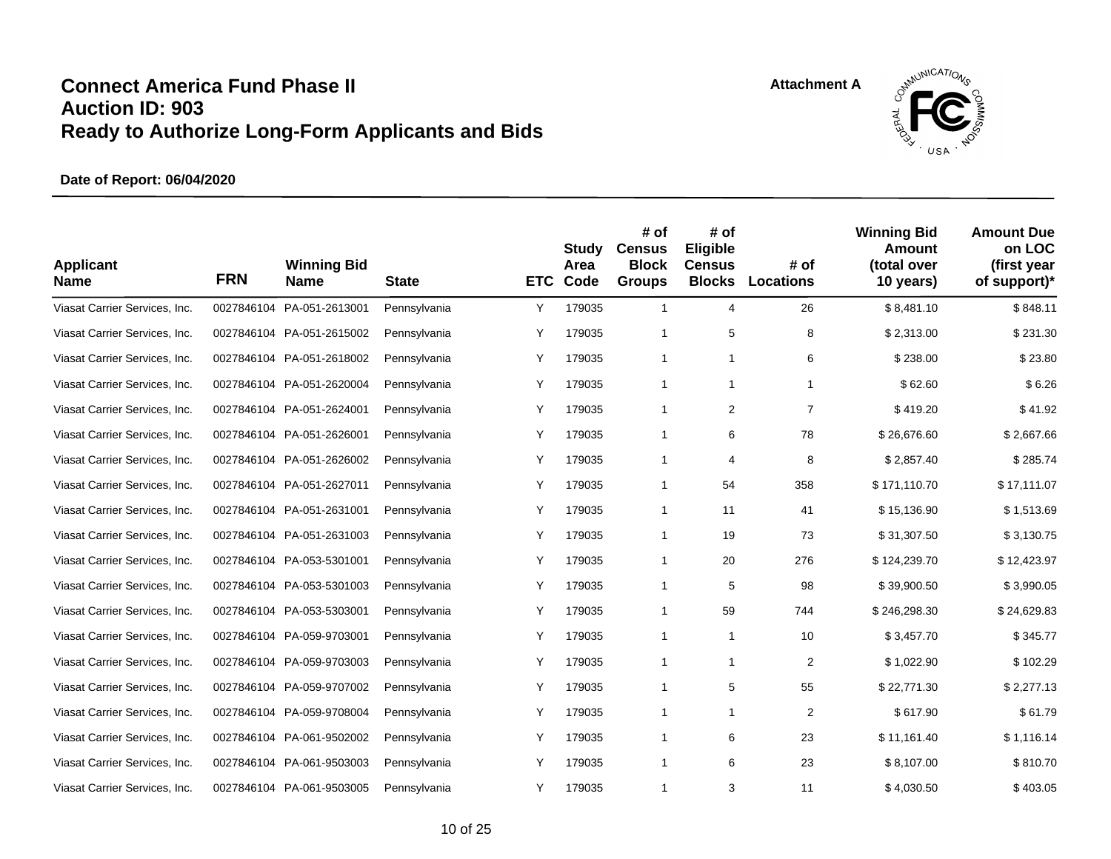

| <b>Applicant</b><br><b>Name</b> | <b>FRN</b> | <b>Winning Bid</b><br><b>Name</b> | <b>State</b> | <b>ETC</b> | Study<br>Area<br>Code | # of<br><b>Census</b><br><b>Block</b><br><b>Groups</b> | # of<br>Eligible<br><b>Census</b><br><b>Blocks</b> | # of<br><b>Locations</b> | <b>Winning Bid</b><br><b>Amount</b><br>(total over<br>10 years) | <b>Amount Due</b><br>on LOC<br>(first year<br>of support)* |
|---------------------------------|------------|-----------------------------------|--------------|------------|-----------------------|--------------------------------------------------------|----------------------------------------------------|--------------------------|-----------------------------------------------------------------|------------------------------------------------------------|
| Viasat Carrier Services, Inc.   | 0027846104 | PA-051-2613001                    | Pennsylvania | Y          | 179035                | $\mathbf{1}$                                           | 4                                                  | 26                       | \$8,481.10                                                      | \$848.11                                                   |
| Viasat Carrier Services, Inc.   |            | 0027846104 PA-051-2615002         | Pennsylvania | Y          | 179035                | 1                                                      | 5                                                  | 8                        | \$2,313.00                                                      | \$231.30                                                   |
| Viasat Carrier Services, Inc.   |            | 0027846104 PA-051-2618002         | Pennsylvania | Y          | 179035                | 1                                                      | $\mathbf{1}$                                       | 6                        | \$238.00                                                        | \$23.80                                                    |
| Viasat Carrier Services, Inc.   |            | 0027846104 PA-051-2620004         | Pennsylvania | Υ          | 179035                | 1                                                      | $\mathbf{1}$                                       | $\mathbf{1}$             | \$62.60                                                         | \$6.26                                                     |
| Viasat Carrier Services, Inc.   |            | 0027846104 PA-051-2624001         | Pennsylvania | Υ          | 179035                | $\mathbf{1}$                                           | 2                                                  | $\overline{7}$           | \$419.20                                                        | \$41.92                                                    |
| Viasat Carrier Services, Inc.   |            | 0027846104 PA-051-2626001         | Pennsylvania | Y          | 179035                | $\mathbf{1}$                                           | 6                                                  | 78                       | \$26,676.60                                                     | \$2,667.66                                                 |
| Viasat Carrier Services, Inc.   |            | 0027846104 PA-051-2626002         | Pennsylvania | Υ          | 179035                | 1                                                      | 4                                                  | 8                        | \$2,857.40                                                      | \$285.74                                                   |
| Viasat Carrier Services, Inc.   |            | 0027846104 PA-051-2627011         | Pennsylvania | Υ          | 179035                | $\mathbf{1}$                                           | 54                                                 | 358                      | \$171,110.70                                                    | \$17,111.07                                                |
| Viasat Carrier Services, Inc.   | 0027846104 | PA-051-2631001                    | Pennsylvania | Υ          | 179035                | $\mathbf{1}$                                           | 11                                                 | 41                       | \$15,136.90                                                     | \$1,513.69                                                 |
| Viasat Carrier Services, Inc.   |            | 0027846104 PA-051-2631003         | Pennsylvania | Υ          | 179035                | 1                                                      | 19                                                 | 73                       | \$31,307.50                                                     | \$3,130.75                                                 |
| Viasat Carrier Services, Inc.   |            | 0027846104 PA-053-5301001         | Pennsylvania | Υ          | 179035                | 1                                                      | 20                                                 | 276                      | \$124,239.70                                                    | \$12,423.97                                                |
| Viasat Carrier Services, Inc.   |            | 0027846104 PA-053-5301003         | Pennsylvania | Y          | 179035                | $\mathbf{1}$                                           | 5                                                  | 98                       | \$39,900.50                                                     | \$3,990.05                                                 |
| Viasat Carrier Services, Inc.   |            | 0027846104 PA-053-5303001         | Pennsylvania | Υ          | 179035                | 1                                                      | 59                                                 | 744                      | \$246,298.30                                                    | \$24,629.83                                                |
| Viasat Carrier Services, Inc.   |            | 0027846104 PA-059-9703001         | Pennsylvania | Υ          | 179035                | $\mathbf{1}$                                           | $\mathbf{1}$                                       | 10                       | \$3,457.70                                                      | \$345.77                                                   |
| Viasat Carrier Services, Inc.   |            | 0027846104 PA-059-9703003         | Pennsylvania | Y          | 179035                | 1                                                      | 1                                                  | $\overline{2}$           | \$1,022.90                                                      | \$102.29                                                   |
| Viasat Carrier Services, Inc.   |            | 0027846104 PA-059-9707002         | Pennsylvania | Y          | 179035                | 1                                                      | 5                                                  | 55                       | \$22,771.30                                                     | \$2,277.13                                                 |
| Viasat Carrier Services, Inc.   | 0027846104 | PA-059-9708004                    | Pennsylvania | Υ          | 179035                | 1                                                      | $\mathbf{1}$                                       | $\overline{2}$           | \$617.90                                                        | \$61.79                                                    |
| Viasat Carrier Services, Inc.   |            | 0027846104 PA-061-9502002         | Pennsylvania | Y          | 179035                | 1                                                      | 6                                                  | 23                       | \$11,161.40                                                     | \$1,116.14                                                 |
| Viasat Carrier Services, Inc.   |            | 0027846104 PA-061-9503003         | Pennsylvania | Υ          | 179035                | 1                                                      | 6                                                  | 23                       | \$8,107.00                                                      | \$810.70                                                   |
| Viasat Carrier Services, Inc.   |            | 0027846104 PA-061-9503005         | Pennsylvania | Y          | 179035                | 1                                                      | 3                                                  | 11                       | \$4,030.50                                                      | \$403.05                                                   |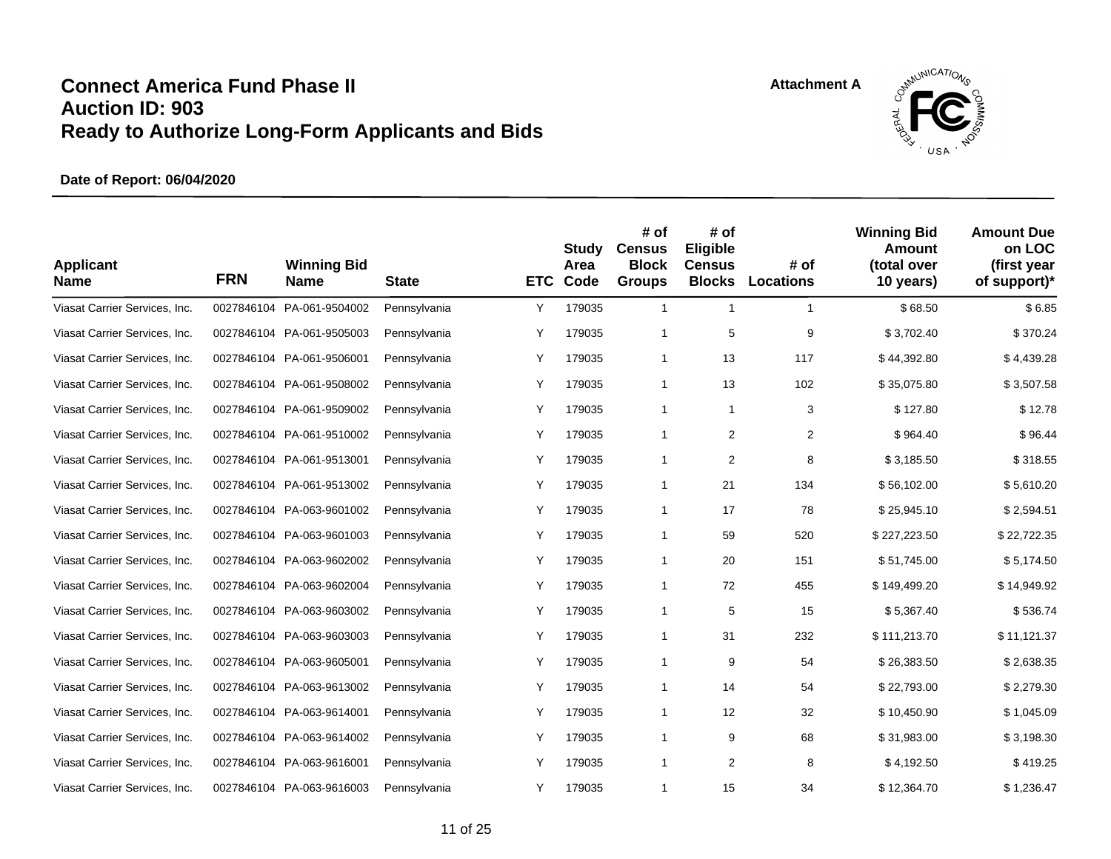

| <b>Applicant</b><br><b>Name</b> | <b>FRN</b> | <b>Winning Bid</b><br><b>Name</b> | <b>State</b> | <b>ETC</b> | Study<br>Area<br>Code | # of<br><b>Census</b><br><b>Block</b><br><b>Groups</b> | # of<br>Eligible<br><b>Census</b><br><b>Blocks</b> | # of<br><b>Locations</b> | <b>Winning Bid</b><br>Amount<br>(total over<br>10 years) | <b>Amount Due</b><br>on LOC<br>(first year<br>of support)* |
|---------------------------------|------------|-----------------------------------|--------------|------------|-----------------------|--------------------------------------------------------|----------------------------------------------------|--------------------------|----------------------------------------------------------|------------------------------------------------------------|
| Viasat Carrier Services, Inc.   | 0027846104 | PA-061-9504002                    | Pennsylvania | Υ          | 179035                | $\mathbf{1}$                                           | $\mathbf{1}$                                       | $\mathbf{1}$             | \$68.50                                                  | \$6.85                                                     |
| Viasat Carrier Services, Inc.   |            | 0027846104 PA-061-9505003         | Pennsylvania | Υ          | 179035                | $\mathbf{1}$                                           | 5                                                  | 9                        | \$3,702.40                                               | \$370.24                                                   |
| Viasat Carrier Services, Inc.   |            | 0027846104 PA-061-9506001         | Pennsylvania | Υ          | 179035                | $\mathbf{1}$                                           | 13                                                 | 117                      | \$44,392.80                                              | \$4,439.28                                                 |
| Viasat Carrier Services, Inc.   |            | 0027846104 PA-061-9508002         | Pennsylvania | Y          | 179035                | $\mathbf{1}$                                           | 13                                                 | 102                      | \$35,075.80                                              | \$3,507.58                                                 |
| Viasat Carrier Services, Inc.   | 0027846104 | PA-061-9509002                    | Pennsylvania | Υ          | 179035                | $\mathbf{1}$                                           | $\mathbf{1}$                                       | 3                        | \$127.80                                                 | \$12.78                                                    |
| Viasat Carrier Services, Inc.   |            | 0027846104 PA-061-9510002         | Pennsylvania | Υ          | 179035                | $\mathbf{1}$                                           | $\overline{2}$                                     | $\overline{2}$           | \$964.40                                                 | \$96.44                                                    |
| Viasat Carrier Services, Inc.   |            | 0027846104 PA-061-9513001         | Pennsylvania | Υ          | 179035                | 1                                                      | 2                                                  | 8                        | \$3,185.50                                               | \$318.55                                                   |
| Viasat Carrier Services, Inc.   |            | 0027846104 PA-061-9513002         | Pennsylvania | Y          | 179035                | 1                                                      | 21                                                 | 134                      | \$56,102.00                                              | \$5,610.20                                                 |
| Viasat Carrier Services, Inc.   |            | 0027846104 PA-063-9601002         | Pennsylvania | Υ          | 179035                | 1                                                      | 17                                                 | 78                       | \$25,945.10                                              | \$2,594.51                                                 |
| Viasat Carrier Services, Inc.   |            | 0027846104 PA-063-9601003         | Pennsylvania | Υ          | 179035                | 1                                                      | 59                                                 | 520                      | \$227,223.50                                             | \$22,722.35                                                |
| Viasat Carrier Services, Inc.   |            | 0027846104 PA-063-9602002         | Pennsylvania | Υ          | 179035                | 1                                                      | 20                                                 | 151                      | \$51,745.00                                              | \$5,174.50                                                 |
| Viasat Carrier Services, Inc.   |            | 0027846104 PA-063-9602004         | Pennsylvania | Υ          | 179035                | 1                                                      | 72                                                 | 455                      | \$149,499.20                                             | \$14,949.92                                                |
| Viasat Carrier Services, Inc.   |            | 0027846104 PA-063-9603002         | Pennsylvania | Υ          | 179035                | $\mathbf{1}$                                           | 5                                                  | 15                       | \$5,367.40                                               | \$536.74                                                   |
| Viasat Carrier Services, Inc.   |            | 0027846104 PA-063-9603003         | Pennsylvania | Υ          | 179035                | 1                                                      | 31                                                 | 232                      | \$111,213.70                                             | \$11,121.37                                                |
| Viasat Carrier Services, Inc.   |            | 0027846104 PA-063-9605001         | Pennsylvania | Y          | 179035                | 1                                                      | 9                                                  | 54                       | \$26,383.50                                              | \$2,638.35                                                 |
| Viasat Carrier Services, Inc.   |            | 0027846104 PA-063-9613002         | Pennsylvania | Υ          | 179035                | 1                                                      | 14                                                 | 54                       | \$22,793.00                                              | \$2,279.30                                                 |
| Viasat Carrier Services, Inc.   |            | 0027846104 PA-063-9614001         | Pennsylvania | Υ          | 179035                | $\mathbf{1}$                                           | 12                                                 | 32                       | \$10,450.90                                              | \$1,045.09                                                 |
| Viasat Carrier Services, Inc.   |            | 0027846104 PA-063-9614002         | Pennsylvania | Υ          | 179035                | $\mathbf{1}$                                           | 9                                                  | 68                       | \$31,983.00                                              | \$3,198.30                                                 |
| Viasat Carrier Services, Inc.   |            | 0027846104 PA-063-9616001         | Pennsylvania | Y          | 179035                | 1                                                      | 2                                                  | 8                        | \$4,192.50                                               | \$419.25                                                   |
| Viasat Carrier Services, Inc.   |            | 0027846104 PA-063-9616003         | Pennsylvania | Y          | 179035                | 1                                                      | 15                                                 | 34                       | \$12,364.70                                              | \$1,236.47                                                 |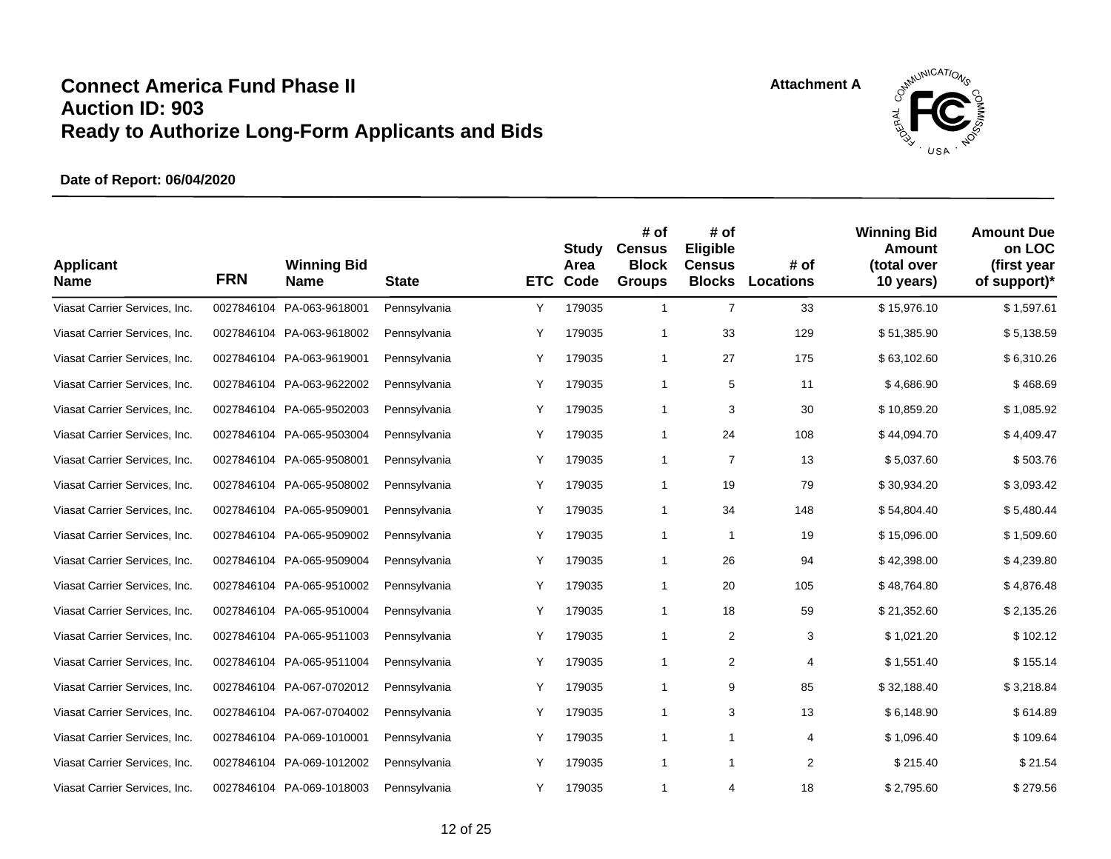

| <b>Applicant</b><br><b>Name</b> | <b>FRN</b> | <b>Winning Bid</b><br><b>Name</b> | <b>State</b> | <b>ETC</b> | Study<br>Area<br>Code | # of<br><b>Census</b><br><b>Block</b><br><b>Groups</b> | # of<br>Eligible<br><b>Census</b><br><b>Blocks</b> | # of<br><b>Locations</b> | <b>Winning Bid</b><br>Amount<br>(total over<br>10 years) | <b>Amount Due</b><br>on LOC<br>(first year<br>of support)* |
|---------------------------------|------------|-----------------------------------|--------------|------------|-----------------------|--------------------------------------------------------|----------------------------------------------------|--------------------------|----------------------------------------------------------|------------------------------------------------------------|
| Viasat Carrier Services, Inc.   | 0027846104 | PA-063-9618001                    | Pennsylvania | Υ          | 179035                | $\mathbf{1}$                                           | $\overline{7}$                                     | 33                       | \$15,976.10                                              | \$1,597.61                                                 |
| Viasat Carrier Services, Inc.   |            | 0027846104 PA-063-9618002         | Pennsylvania | Y          | 179035                | 1                                                      | 33                                                 | 129                      | \$51,385.90                                              | \$5,138.59                                                 |
| Viasat Carrier Services, Inc.   |            | 0027846104 PA-063-9619001         | Pennsylvania | Υ          | 179035                | $\mathbf{1}$                                           | 27                                                 | 175                      | \$63,102.60                                              | \$6,310.26                                                 |
| Viasat Carrier Services, Inc.   |            | 0027846104 PA-063-9622002         | Pennsylvania | Υ          | 179035                | $\mathbf{1}$                                           | 5                                                  | 11                       | \$4,686.90                                               | \$468.69                                                   |
| Viasat Carrier Services, Inc.   | 0027846104 | PA-065-9502003                    | Pennsylvania | Υ          | 179035                | $\mathbf{1}$                                           | 3                                                  | 30                       | \$10,859.20                                              | \$1,085.92                                                 |
| Viasat Carrier Services, Inc.   |            | 0027846104 PA-065-9503004         | Pennsylvania | Υ          | 179035                | $\mathbf{1}$                                           | 24                                                 | 108                      | \$44,094.70                                              | \$4,409.47                                                 |
| Viasat Carrier Services, Inc.   |            | 0027846104 PA-065-9508001         | Pennsylvania | Υ          | 179035                | 1                                                      | $\overline{7}$                                     | 13                       | \$5,037.60                                               | \$503.76                                                   |
| Viasat Carrier Services, Inc.   |            | 0027846104 PA-065-9508002         | Pennsylvania | Y          | 179035                | $\mathbf{1}$                                           | 19                                                 | 79                       | \$30,934.20                                              | \$3,093.42                                                 |
| Viasat Carrier Services, Inc.   | 0027846104 | PA-065-9509001                    | Pennsylvania | Y          | 179035                | $\mathbf{1}$                                           | 34                                                 | 148                      | \$54,804.40                                              | \$5,480.44                                                 |
| Viasat Carrier Services, Inc.   |            | 0027846104 PA-065-9509002         | Pennsylvania | Y          | 179035                | 1                                                      | $\mathbf{1}$                                       | 19                       | \$15,096.00                                              | \$1,509.60                                                 |
| Viasat Carrier Services, Inc.   |            | 0027846104 PA-065-9509004         | Pennsylvania | Υ          | 179035                | 1                                                      | 26                                                 | 94                       | \$42,398.00                                              | \$4,239.80                                                 |
| Viasat Carrier Services, Inc.   |            | 0027846104 PA-065-9510002         | Pennsylvania | Υ          | 179035                | 1                                                      | 20                                                 | 105                      | \$48,764.80                                              | \$4,876.48                                                 |
| Viasat Carrier Services, Inc.   |            | 0027846104 PA-065-9510004         | Pennsylvania | Υ          | 179035                | 1                                                      | 18                                                 | 59                       | \$21,352.60                                              | \$2,135.26                                                 |
| Viasat Carrier Services, Inc.   |            | 0027846104 PA-065-9511003         | Pennsylvania | Y          | 179035                | 1                                                      | 2                                                  | 3                        | \$1,021.20                                               | \$102.12                                                   |
| Viasat Carrier Services, Inc.   |            | 0027846104 PA-065-9511004         | Pennsylvania | Y          | 179035                | 1                                                      | 2                                                  | 4                        | \$1,551.40                                               | \$155.14                                                   |
| Viasat Carrier Services, Inc.   |            | 0027846104 PA-067-0702012         | Pennsylvania | Υ          | 179035                | 1                                                      | 9                                                  | 85                       | \$32,188.40                                              | \$3,218.84                                                 |
| Viasat Carrier Services, Inc.   |            | 0027846104 PA-067-0704002         | Pennsylvania | Υ          | 179035                | $\mathbf{1}$                                           | 3                                                  | 13                       | \$6,148.90                                               | \$614.89                                                   |
| Viasat Carrier Services, Inc.   |            | 0027846104 PA-069-1010001         | Pennsylvania | Υ          | 179035                | 1                                                      | 1                                                  | 4                        | \$1,096.40                                               | \$109.64                                                   |
| Viasat Carrier Services, Inc.   |            | 0027846104 PA-069-1012002         | Pennsylvania | Y          | 179035                | 1                                                      | $\mathbf{1}$                                       | 2                        | \$215.40                                                 | \$21.54                                                    |
| Viasat Carrier Services, Inc.   |            | 0027846104 PA-069-1018003         | Pennsylvania | Y          | 179035                | 1                                                      | 4                                                  | 18                       | \$2,795.60                                               | \$279.56                                                   |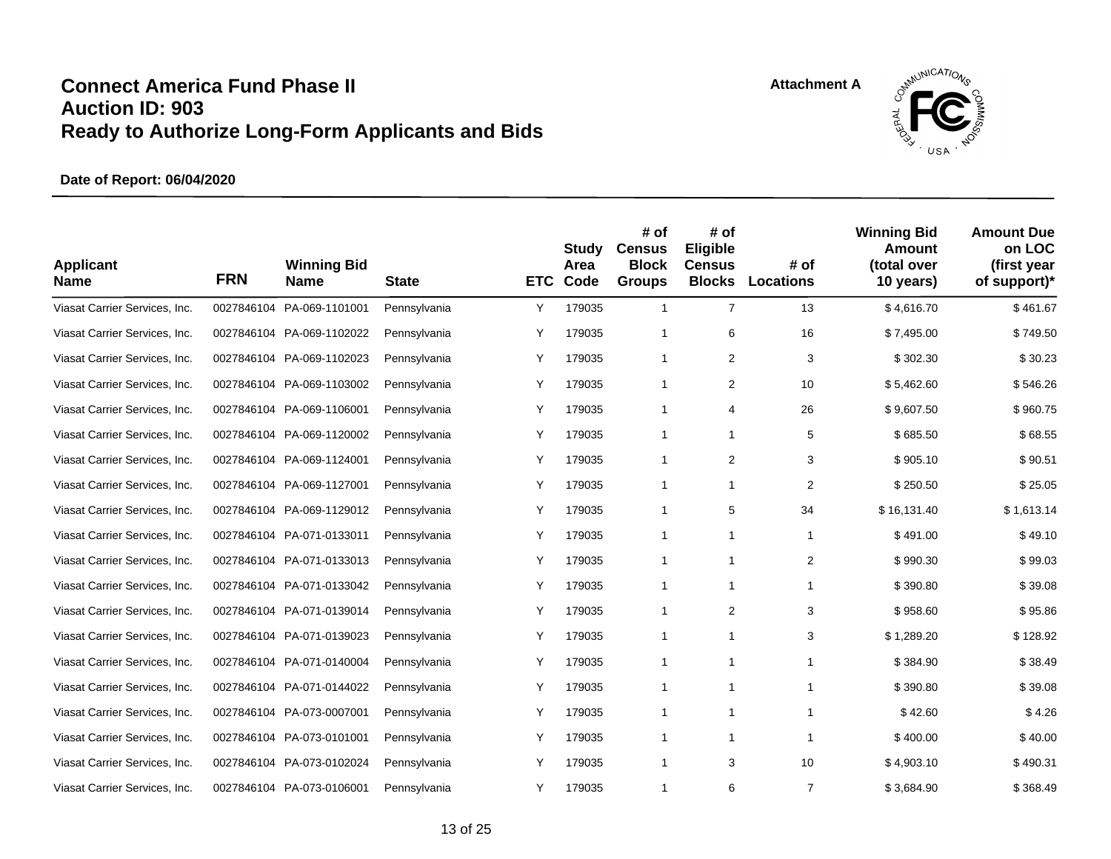

| <b>Applicant</b><br><b>Name</b> | <b>FRN</b> | <b>Winning Bid</b><br><b>Name</b> | <b>State</b> | <b>ETC</b> | <b>Study</b><br>Area<br>Code | # of<br><b>Census</b><br><b>Block</b><br><b>Groups</b> | # of<br>Eligible<br><b>Census</b><br><b>Blocks</b> | # of<br><b>Locations</b> | <b>Winning Bid</b><br>Amount<br>(total over<br>10 years) | <b>Amount Due</b><br>on LOC<br>(first year<br>of support)* |
|---------------------------------|------------|-----------------------------------|--------------|------------|------------------------------|--------------------------------------------------------|----------------------------------------------------|--------------------------|----------------------------------------------------------|------------------------------------------------------------|
| Viasat Carrier Services, Inc.   | 0027846104 | PA-069-1101001                    | Pennsylvania | Υ          | 179035                       | $\mathbf{1}$                                           | $\overline{7}$                                     | 13                       | \$4,616.70                                               | \$461.67                                                   |
| Viasat Carrier Services, Inc.   |            | 0027846104 PA-069-1102022         | Pennsylvania | Y          | 179035                       | 1                                                      | 6                                                  | 16                       | \$7,495.00                                               | \$749.50                                                   |
| Viasat Carrier Services, Inc.   |            | 0027846104 PA-069-1102023         | Pennsylvania | Y          | 179035                       | $\mathbf{1}$                                           | 2                                                  | 3                        | \$302.30                                                 | \$30.23                                                    |
| Viasat Carrier Services, Inc.   |            | 0027846104 PA-069-1103002         | Pennsylvania | Υ          | 179035                       | $\mathbf{1}$                                           | 2                                                  | 10                       | \$5,462.60                                               | \$546.26                                                   |
| Viasat Carrier Services, Inc.   |            | 0027846104 PA-069-1106001         | Pennsylvania | Υ          | 179035                       | $\mathbf{1}$                                           | 4                                                  | 26                       | \$9,607.50                                               | \$960.75                                                   |
| Viasat Carrier Services, Inc.   |            | 0027846104 PA-069-1120002         | Pennsylvania | Υ          | 179035                       | $\mathbf{1}$                                           | $\mathbf{1}$                                       | 5                        | \$685.50                                                 | \$68.55                                                    |
| Viasat Carrier Services, Inc.   |            | 0027846104 PA-069-1124001         | Pennsylvania | Υ          | 179035                       | 1                                                      | 2                                                  | 3                        | \$905.10                                                 | \$90.51                                                    |
| Viasat Carrier Services, Inc.   |            | 0027846104 PA-069-1127001         | Pennsylvania | Y          | 179035                       | 1                                                      | 1                                                  | $\overline{2}$           | \$250.50                                                 | \$25.05                                                    |
| Viasat Carrier Services, Inc.   | 0027846104 | PA-069-1129012                    | Pennsylvania | Υ          | 179035                       | $\mathbf{1}$                                           | 5                                                  | 34                       | \$16,131.40                                              | \$1,613.14                                                 |
| Viasat Carrier Services, Inc.   |            | 0027846104 PA-071-0133011         | Pennsylvania | Υ          | 179035                       | 1                                                      | 1                                                  | $\mathbf{1}$             | \$491.00                                                 | \$49.10                                                    |
| Viasat Carrier Services, Inc.   |            | 0027846104 PA-071-0133013         | Pennsylvania | Υ          | 179035                       | 1                                                      | 1                                                  | $\overline{2}$           | \$990.30                                                 | \$99.03                                                    |
| Viasat Carrier Services, Inc.   |            | 0027846104 PA-071-0133042         | Pennsylvania | Υ          | 179035                       | 1                                                      | 1                                                  | $\mathbf{1}$             | \$390.80                                                 | \$39.08                                                    |
| Viasat Carrier Services, Inc.   |            | 0027846104 PA-071-0139014         | Pennsylvania | Υ          | 179035                       | 1                                                      | 2                                                  | 3                        | \$958.60                                                 | \$95.86                                                    |
| Viasat Carrier Services, Inc.   |            | 0027846104 PA-071-0139023         | Pennsylvania | Y          | 179035                       | 1                                                      | $\mathbf{1}$                                       | 3                        | \$1,289.20                                               | \$128.92                                                   |
| Viasat Carrier Services, Inc.   |            | 0027846104 PA-071-0140004         | Pennsylvania | Y          | 179035                       | $\mathbf{1}$                                           | 1                                                  | $\mathbf{1}$             | \$384.90                                                 | \$38.49                                                    |
| Viasat Carrier Services, Inc.   |            | 0027846104 PA-071-0144022         | Pennsylvania | Υ          | 179035                       | 1                                                      | 1                                                  | $\mathbf{1}$             | \$390.80                                                 | \$39.08                                                    |
| Viasat Carrier Services, Inc.   |            | 0027846104 PA-073-0007001         | Pennsylvania | Υ          | 179035                       | $\mathbf{1}$                                           | $\mathbf{1}$                                       | $\mathbf{1}$             | \$42.60                                                  | \$4.26                                                     |
| Viasat Carrier Services, Inc.   |            | 0027846104 PA-073-0101001         | Pennsylvania | Y          | 179035                       | 1                                                      | $\mathbf{1}$                                       | $\mathbf{1}$             | \$400.00                                                 | \$40.00                                                    |
| Viasat Carrier Services, Inc.   |            | 0027846104 PA-073-0102024         | Pennsylvania | Y          | 179035                       | 1                                                      | 3                                                  | 10                       | \$4,903.10                                               | \$490.31                                                   |
| Viasat Carrier Services, Inc.   |            | 0027846104 PA-073-0106001         | Pennsylvania | Y          | 179035                       | 1                                                      | 6                                                  | $\overline{7}$           | \$3,684.90                                               | \$368.49                                                   |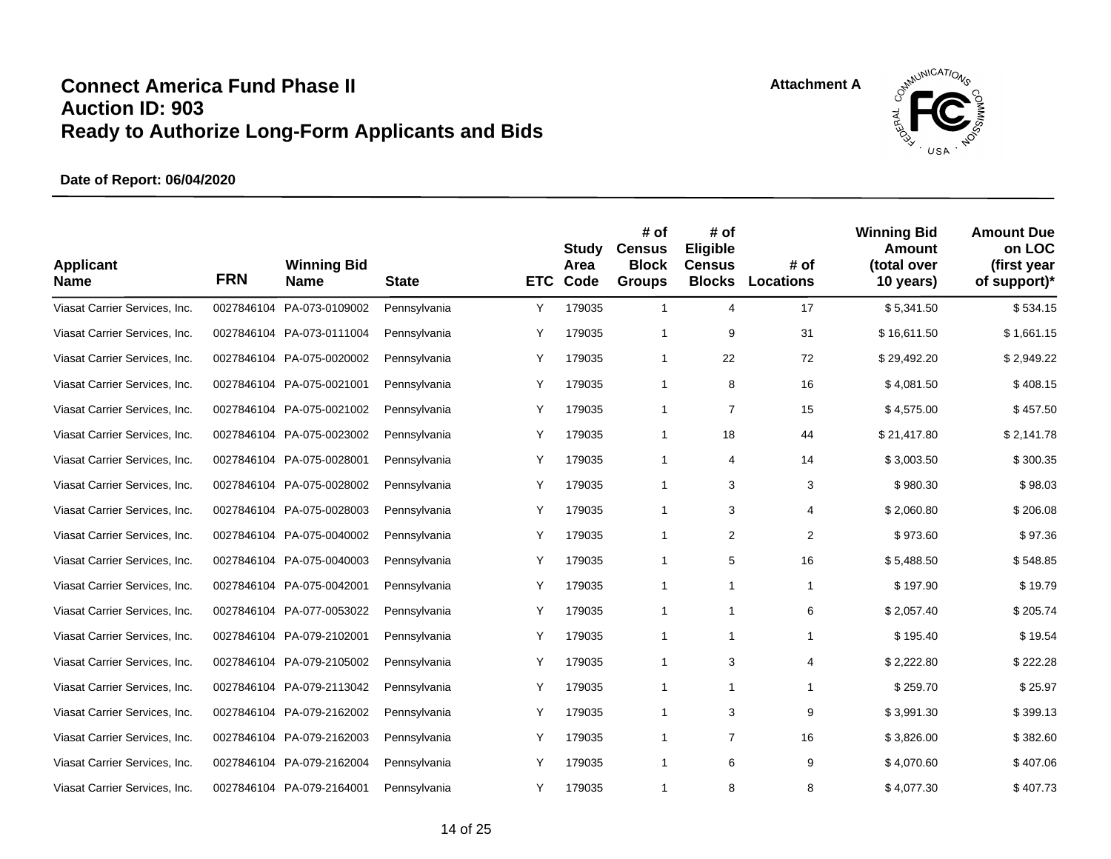

| <b>Applicant</b><br><b>Name</b> | <b>FRN</b> | <b>Winning Bid</b><br><b>Name</b> | <b>State</b> | <b>ETC</b> | Study<br>Area<br>Code | # of<br><b>Census</b><br><b>Block</b><br><b>Groups</b> | # of<br>Eligible<br><b>Census</b><br><b>Blocks</b> | # of<br><b>Locations</b> | <b>Winning Bid</b><br><b>Amount</b><br>(total over<br>10 years) | <b>Amount Due</b><br>on LOC<br>(first year<br>of support)* |
|---------------------------------|------------|-----------------------------------|--------------|------------|-----------------------|--------------------------------------------------------|----------------------------------------------------|--------------------------|-----------------------------------------------------------------|------------------------------------------------------------|
| Viasat Carrier Services, Inc.   | 0027846104 | PA-073-0109002                    | Pennsylvania | Y          | 179035                | $\mathbf{1}$                                           | 4                                                  | 17                       | \$5,341.50                                                      | \$534.15                                                   |
| Viasat Carrier Services, Inc.   |            | 0027846104 PA-073-0111004         | Pennsylvania | Y          | 179035                | 1                                                      | 9                                                  | 31                       | \$16,611.50                                                     | \$1,661.15                                                 |
| Viasat Carrier Services, Inc.   |            | 0027846104 PA-075-0020002         | Pennsylvania | Υ          | 179035                | 1                                                      | 22                                                 | 72                       | \$29,492.20                                                     | \$2,949.22                                                 |
| Viasat Carrier Services, Inc.   |            | 0027846104 PA-075-0021001         | Pennsylvania | Υ          | 179035                | $\mathbf{1}$                                           | 8                                                  | 16                       | \$4,081.50                                                      | \$408.15                                                   |
| Viasat Carrier Services, Inc.   |            | 0027846104 PA-075-0021002         | Pennsylvania | Υ          | 179035                | 1                                                      | $\overline{7}$                                     | 15                       | \$4,575.00                                                      | \$457.50                                                   |
| Viasat Carrier Services, Inc.   |            | 0027846104 PA-075-0023002         | Pennsylvania | Υ          | 179035                | $\mathbf{1}$                                           | 18                                                 | 44                       | \$21,417.80                                                     | \$2,141.78                                                 |
| Viasat Carrier Services, Inc.   |            | 0027846104 PA-075-0028001         | Pennsylvania | Υ          | 179035                | 1                                                      | 4                                                  | 14                       | \$3,003.50                                                      | \$300.35                                                   |
| Viasat Carrier Services, Inc.   |            | 0027846104 PA-075-0028002         | Pennsylvania | Υ          | 179035                | $\mathbf{1}$                                           | 3                                                  | 3                        | \$980.30                                                        | \$98.03                                                    |
| Viasat Carrier Services, Inc.   | 0027846104 | PA-075-0028003                    | Pennsylvania | Υ          | 179035                | 1                                                      | 3                                                  | 4                        | \$2,060.80                                                      | \$206.08                                                   |
| Viasat Carrier Services, Inc.   |            | 0027846104 PA-075-0040002         | Pennsylvania | Υ          | 179035                | 1                                                      | 2                                                  | $\overline{2}$           | \$973.60                                                        | \$97.36                                                    |
| Viasat Carrier Services, Inc.   |            | 0027846104 PA-075-0040003         | Pennsylvania | Υ          | 179035                | 1                                                      | 5                                                  | 16                       | \$5,488.50                                                      | \$548.85                                                   |
| Viasat Carrier Services, Inc.   |            | 0027846104 PA-075-0042001         | Pennsylvania | Y          | 179035                | $\mathbf{1}$                                           | $\mathbf{1}$                                       | $\mathbf{1}$             | \$197.90                                                        | \$19.79                                                    |
| Viasat Carrier Services, Inc.   |            | 0027846104 PA-077-0053022         | Pennsylvania | Υ          | 179035                | $\mathbf{1}$                                           | 1                                                  | 6                        | \$2,057.40                                                      | \$205.74                                                   |
| Viasat Carrier Services, Inc.   |            | 0027846104 PA-079-2102001         | Pennsylvania | Υ          | 179035                | 1                                                      | $\mathbf{1}$                                       | $\mathbf{1}$             | \$195.40                                                        | \$19.54                                                    |
| Viasat Carrier Services, Inc.   |            | 0027846104 PA-079-2105002         | Pennsylvania | Y          | 179035                | 1                                                      | 3                                                  | 4                        | \$2,222.80                                                      | \$222.28                                                   |
| Viasat Carrier Services, Inc.   |            | 0027846104 PA-079-2113042         | Pennsylvania | Y          | 179035                | 1                                                      | 1                                                  | $\mathbf{1}$             | \$259.70                                                        | \$25.97                                                    |
| Viasat Carrier Services, Inc.   | 0027846104 | PA-079-2162002                    | Pennsylvania | Υ          | 179035                | $\mathbf{1}$                                           | 3                                                  | 9                        | \$3,991.30                                                      | \$399.13                                                   |
| Viasat Carrier Services, Inc.   |            | 0027846104 PA-079-2162003         | Pennsylvania | Y          | 179035                | 1                                                      | $\overline{7}$                                     | 16                       | \$3,826.00                                                      | \$382.60                                                   |
| Viasat Carrier Services, Inc.   |            | 0027846104 PA-079-2162004         | Pennsylvania | Υ          | 179035                | 1                                                      | 6                                                  | 9                        | \$4,070.60                                                      | \$407.06                                                   |
| Viasat Carrier Services, Inc.   |            | 0027846104 PA-079-2164001         | Pennsylvania | Y          | 179035                | 1                                                      | 8                                                  | 8                        | \$4,077.30                                                      | \$407.73                                                   |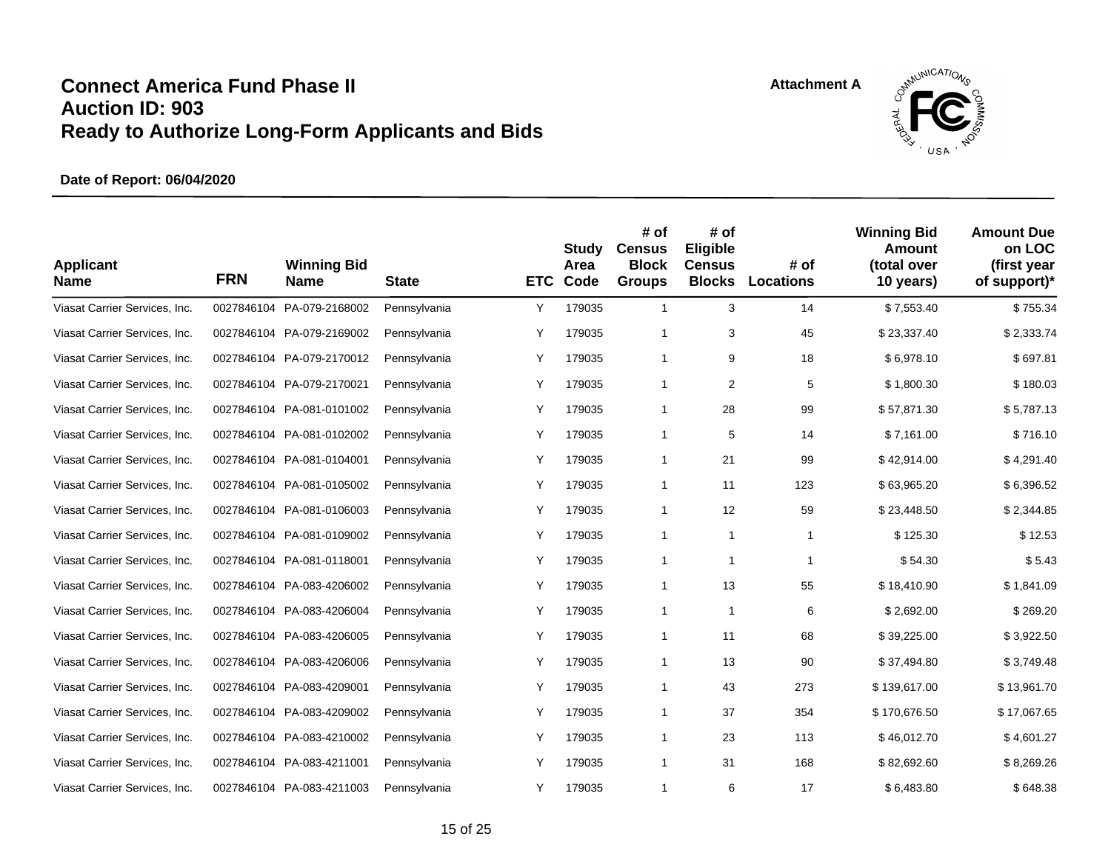

| <b>Applicant</b><br><b>Name</b> | <b>FRN</b> | <b>Winning Bid</b><br><b>Name</b> | <b>State</b> | <b>ETC</b> | Study<br>Area<br>Code | # of<br><b>Census</b><br><b>Block</b><br><b>Groups</b> | # of<br>Eligible<br><b>Census</b><br><b>Blocks</b> | # of<br><b>Locations</b> | <b>Winning Bid</b><br>Amount<br>(total over<br>10 years) | <b>Amount Due</b><br>on LOC<br>(first year<br>of support)* |
|---------------------------------|------------|-----------------------------------|--------------|------------|-----------------------|--------------------------------------------------------|----------------------------------------------------|--------------------------|----------------------------------------------------------|------------------------------------------------------------|
| Viasat Carrier Services, Inc.   | 0027846104 | PA-079-2168002                    | Pennsylvania | Υ          | 179035                | $\mathbf{1}$                                           | 3                                                  | 14                       | \$7,553.40                                               | \$755.34                                                   |
| Viasat Carrier Services, Inc.   |            | 0027846104 PA-079-2169002         | Pennsylvania | Υ          | 179035                | $\mathbf{1}$                                           | 3                                                  | 45                       | \$23,337.40                                              | \$2,333.74                                                 |
| Viasat Carrier Services, Inc.   |            | 0027846104 PA-079-2170012         | Pennsylvania | Υ          | 179035                | 1                                                      | 9                                                  | 18                       | \$6,978.10                                               | \$697.81                                                   |
| Viasat Carrier Services, Inc.   |            | 0027846104 PA-079-2170021         | Pennsylvania | Y          | 179035                | 1                                                      | 2                                                  | 5                        | \$1,800.30                                               | \$180.03                                                   |
| Viasat Carrier Services, Inc.   |            | 0027846104 PA-081-0101002         | Pennsylvania | Υ          | 179035                | 1                                                      | 28                                                 | 99                       | \$57,871.30                                              | \$5,787.13                                                 |
| Viasat Carrier Services, Inc.   |            | 0027846104 PA-081-0102002         | Pennsylvania | Υ          | 179035                | $\mathbf{1}$                                           | 5                                                  | 14                       | \$7,161.00                                               | \$716.10                                                   |
| Viasat Carrier Services, Inc.   |            | 0027846104 PA-081-0104001         | Pennsylvania | Υ          | 179035                | $\mathbf{1}$                                           | 21                                                 | 99                       | \$42,914.00                                              | \$4,291.40                                                 |
| Viasat Carrier Services, Inc.   |            | 0027846104 PA-081-0105002         | Pennsylvania | Y          | 179035                | 1                                                      | 11                                                 | 123                      | \$63,965.20                                              | \$6,396.52                                                 |
| Viasat Carrier Services, Inc.   |            | 0027846104 PA-081-0106003         | Pennsylvania | Y          | 179035                | 1                                                      | 12                                                 | 59                       | \$23,448.50                                              | \$2,344.85                                                 |
| Viasat Carrier Services, Inc.   |            | 0027846104 PA-081-0109002         | Pennsylvania | Υ          | 179035                | 1                                                      | $\mathbf{1}$                                       | $\mathbf{1}$             | \$125.30                                                 | \$12.53                                                    |
| Viasat Carrier Services, Inc.   |            | 0027846104 PA-081-0118001         | Pennsylvania | Υ          | 179035                | $\mathbf{1}$                                           | 1                                                  | $\mathbf{1}$             | \$54.30                                                  | \$5.43                                                     |
| Viasat Carrier Services, Inc.   |            | 0027846104 PA-083-4206002         | Pennsylvania | Υ          | 179035                | $\mathbf{1}$                                           | 13                                                 | 55                       | \$18,410.90                                              | \$1,841.09                                                 |
| Viasat Carrier Services, Inc.   |            | 0027846104 PA-083-4206004         | Pennsylvania | Y          | 179035                | $\mathbf{1}$                                           | $\mathbf{1}$                                       | 6                        | \$2,692.00                                               | \$269.20                                                   |
| Viasat Carrier Services, Inc.   |            | 0027846104 PA-083-4206005         | Pennsylvania | Υ          | 179035                | 1                                                      | 11                                                 | 68                       | \$39,225.00                                              | \$3,922.50                                                 |
| Viasat Carrier Services, Inc.   |            | 0027846104 PA-083-4206006         | Pennsylvania | Y          | 179035                | $\mathbf{1}$                                           | 13                                                 | 90                       | \$37,494.80                                              | \$3,749.48                                                 |
| Viasat Carrier Services, Inc.   | 0027846104 | PA-083-4209001                    | Pennsylvania | Υ          | 179035                | 1                                                      | 43                                                 | 273                      | \$139,617.00                                             | \$13,961.70                                                |
| Viasat Carrier Services, Inc.   |            | 0027846104 PA-083-4209002         | Pennsylvania | Υ          | 179035                | $\mathbf{1}$                                           | 37                                                 | 354                      | \$170,676.50                                             | \$17,067.65                                                |
| Viasat Carrier Services, Inc.   |            | 0027846104 PA-083-4210002         | Pennsylvania | Υ          | 179035                | 1                                                      | 23                                                 | 113                      | \$46,012.70                                              | \$4,601.27                                                 |
| Viasat Carrier Services, Inc.   |            | 0027846104 PA-083-4211001         | Pennsylvania | Y          | 179035                | 1                                                      | 31                                                 | 168                      | \$82,692.60                                              | \$8,269.26                                                 |
| Viasat Carrier Services, Inc.   |            | 0027846104 PA-083-4211003         | Pennsylvania | Y          | 179035                | 1                                                      | 6                                                  | 17                       | \$6,483.80                                               | \$648.38                                                   |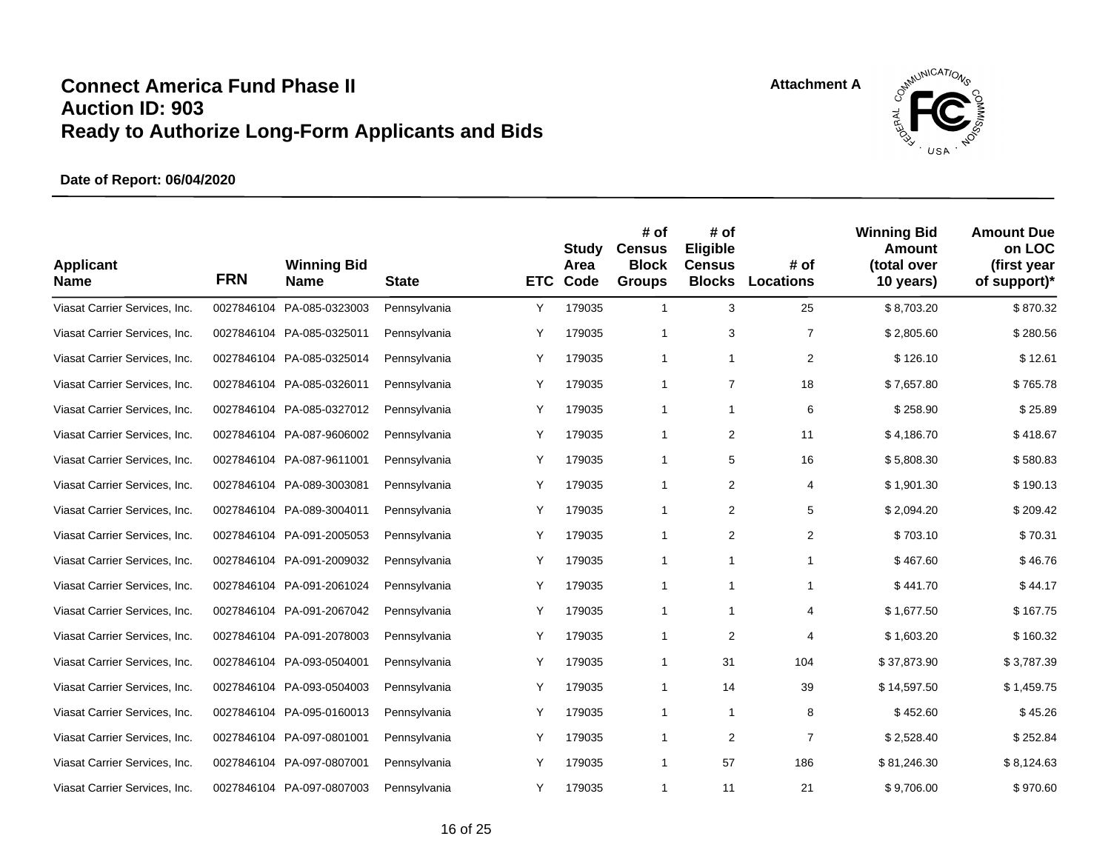

| <b>Applicant</b><br><b>Name</b> | <b>FRN</b> | <b>Winning Bid</b><br><b>Name</b> | <b>State</b> | <b>ETC</b> | Study<br>Area<br>Code | # of<br><b>Census</b><br><b>Block</b><br><b>Groups</b> | # of<br>Eligible<br><b>Census</b><br><b>Blocks</b> | # of<br><b>Locations</b> | <b>Winning Bid</b><br>Amount<br>(total over<br>10 years) | <b>Amount Due</b><br>on LOC<br>(first year<br>of support)* |
|---------------------------------|------------|-----------------------------------|--------------|------------|-----------------------|--------------------------------------------------------|----------------------------------------------------|--------------------------|----------------------------------------------------------|------------------------------------------------------------|
| Viasat Carrier Services, Inc.   | 0027846104 | PA-085-0323003                    | Pennsylvania | Υ          | 179035                | $\mathbf{1}$                                           | 3                                                  | 25                       | \$8,703.20                                               | \$870.32                                                   |
| Viasat Carrier Services, Inc.   |            | 0027846104 PA-085-0325011         | Pennsylvania | Υ          | 179035                | 1                                                      | 3                                                  | $\overline{7}$           | \$2,805.60                                               | \$280.56                                                   |
| Viasat Carrier Services, Inc.   |            | 0027846104 PA-085-0325014         | Pennsylvania | Υ          | 179035                | 1                                                      | $\mathbf{1}$                                       | $\overline{2}$           | \$126.10                                                 | \$12.61                                                    |
| Viasat Carrier Services, Inc.   |            | 0027846104 PA-085-0326011         | Pennsylvania | Υ          | 179035                | 1                                                      | $\overline{7}$                                     | 18                       | \$7,657.80                                               | \$765.78                                                   |
| Viasat Carrier Services, Inc.   | 0027846104 | PA-085-0327012                    | Pennsylvania | Υ          | 179035                | $\mathbf{1}$                                           | $\mathbf{1}$                                       | 6                        | \$258.90                                                 | \$25.89                                                    |
| Viasat Carrier Services, Inc.   |            | 0027846104 PA-087-9606002         | Pennsylvania | Υ          | 179035                | $\mathbf{1}$                                           | 2                                                  | 11                       | \$4,186.70                                               | \$418.67                                                   |
| Viasat Carrier Services, Inc.   |            | 0027846104 PA-087-9611001         | Pennsylvania | Y          | 179035                | 1                                                      | 5                                                  | 16                       | \$5,808.30                                               | \$580.83                                                   |
| Viasat Carrier Services, Inc.   |            | 0027846104 PA-089-3003081         | Pennsylvania | Υ          | 179035                | 1                                                      | 2                                                  | 4                        | \$1,901.30                                               | \$190.13                                                   |
| Viasat Carrier Services, Inc.   |            | 0027846104 PA-089-3004011         | Pennsylvania | Υ          | 179035                | $\mathbf{1}$                                           | 2                                                  | 5                        | \$2,094.20                                               | \$209.42                                                   |
| Viasat Carrier Services, Inc.   |            | 0027846104 PA-091-2005053         | Pennsylvania | Y          | 179035                | 1                                                      | 2                                                  | 2                        | \$703.10                                                 | \$70.31                                                    |
| Viasat Carrier Services, Inc.   |            | 0027846104 PA-091-2009032         | Pennsylvania | Y          | 179035                | 1                                                      | $\mathbf{1}$                                       | $\mathbf{1}$             | \$467.60                                                 | \$46.76                                                    |
| Viasat Carrier Services, Inc.   |            | 0027846104 PA-091-2061024         | Pennsylvania | Υ          | 179035                | 1                                                      | 1                                                  | $\mathbf{1}$             | \$441.70                                                 | \$44.17                                                    |
| Viasat Carrier Services, Inc.   |            | 0027846104 PA-091-2067042         | Pennsylvania | Υ          | 179035                | 1                                                      | 1                                                  | $\overline{4}$           | \$1,677.50                                               | \$167.75                                                   |
| Viasat Carrier Services, Inc.   |            | 0027846104 PA-091-2078003         | Pennsylvania | Υ          | 179035                | 1                                                      | $\overline{2}$                                     | 4                        | \$1,603.20                                               | \$160.32                                                   |
| Viasat Carrier Services, Inc.   |            | 0027846104 PA-093-0504001         | Pennsylvania | Y          | 179035                | $\mathbf{1}$                                           | 31                                                 | 104                      | \$37,873.90                                              | \$3,787.39                                                 |
| Viasat Carrier Services, Inc.   |            | 0027846104 PA-093-0504003         | Pennsylvania | Υ          | 179035                | 1                                                      | 14                                                 | 39                       | \$14,597.50                                              | \$1,459.75                                                 |
| Viasat Carrier Services, Inc.   |            | 0027846104 PA-095-0160013         | Pennsylvania | Υ          | 179035                | $\mathbf{1}$                                           | $\mathbf{1}$                                       | 8                        | \$452.60                                                 | \$45.26                                                    |
| Viasat Carrier Services, Inc.   |            | 0027846104 PA-097-0801001         | Pennsylvania | Υ          | 179035                | 1                                                      | $\overline{2}$                                     | $\overline{7}$           | \$2,528.40                                               | \$252.84                                                   |
| Viasat Carrier Services, Inc.   |            | 0027846104 PA-097-0807001         | Pennsylvania | Y          | 179035                | 1                                                      | 57                                                 | 186                      | \$81,246.30                                              | \$8,124.63                                                 |
| Viasat Carrier Services, Inc.   |            | 0027846104 PA-097-0807003         | Pennsylvania | Y          | 179035                | 1                                                      | 11                                                 | 21                       | \$9,706.00                                               | \$970.60                                                   |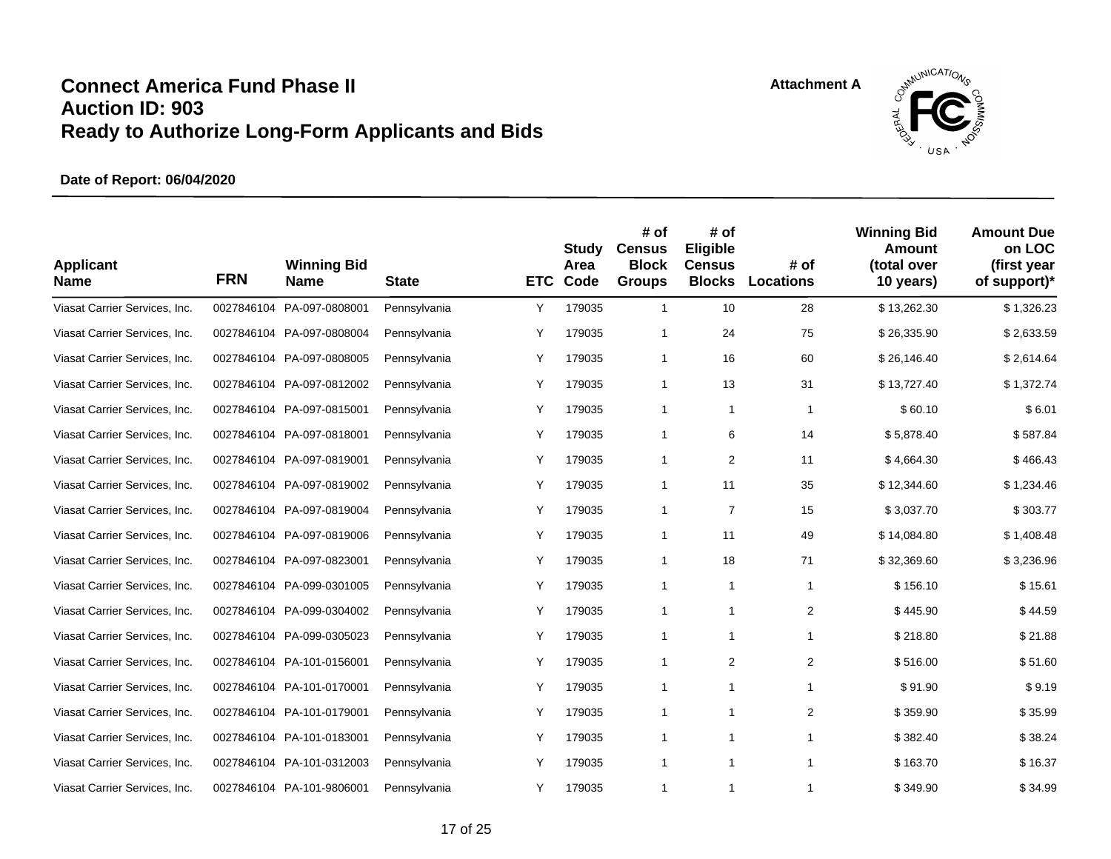

| <b>Applicant</b><br><b>Name</b> | <b>FRN</b> | <b>Winning Bid</b><br><b>Name</b> | <b>State</b> | <b>ETC</b> | <b>Study</b><br>Area<br>Code | # of<br><b>Census</b><br><b>Block</b><br><b>Groups</b> | # of<br>Eligible<br><b>Census</b><br><b>Blocks</b> | # of<br><b>Locations</b> | <b>Winning Bid</b><br>Amount<br>(total over<br>10 years) | <b>Amount Due</b><br>on LOC<br>(first year<br>of support)* |
|---------------------------------|------------|-----------------------------------|--------------|------------|------------------------------|--------------------------------------------------------|----------------------------------------------------|--------------------------|----------------------------------------------------------|------------------------------------------------------------|
| Viasat Carrier Services, Inc.   | 0027846104 | PA-097-0808001                    | Pennsylvania | Υ          | 179035                       | $\mathbf{1}$                                           | 10                                                 | 28                       | \$13,262.30                                              | \$1,326.23                                                 |
| Viasat Carrier Services, Inc.   |            | 0027846104 PA-097-0808004         | Pennsylvania | Y          | 179035                       | 1                                                      | 24                                                 | 75                       | \$26,335.90                                              | \$2,633.59                                                 |
| Viasat Carrier Services, Inc.   |            | 0027846104 PA-097-0808005         | Pennsylvania | Y          | 179035                       | $\mathbf{1}$                                           | 16                                                 | 60                       | \$26,146.40                                              | \$2,614.64                                                 |
| Viasat Carrier Services, Inc.   |            | 0027846104 PA-097-0812002         | Pennsylvania | Υ          | 179035                       | $\mathbf{1}$                                           | 13                                                 | 31                       | \$13,727.40                                              | \$1,372.74                                                 |
| Viasat Carrier Services, Inc.   |            | 0027846104 PA-097-0815001         | Pennsylvania | Υ          | 179035                       | $\mathbf{1}$                                           | $\mathbf{1}$                                       | $\mathbf{1}$             | \$60.10                                                  | \$6.01                                                     |
| Viasat Carrier Services, Inc.   |            | 0027846104 PA-097-0818001         | Pennsylvania | Υ          | 179035                       | $\mathbf{1}$                                           | 6                                                  | 14                       | \$5,878.40                                               | \$587.84                                                   |
| Viasat Carrier Services, Inc.   |            | 0027846104 PA-097-0819001         | Pennsylvania | Υ          | 179035                       | $\mathbf{1}$                                           | 2                                                  | 11                       | \$4,664.30                                               | \$466.43                                                   |
| Viasat Carrier Services, Inc.   |            | 0027846104 PA-097-0819002         | Pennsylvania | Y          | 179035                       | $\mathbf{1}$                                           | 11                                                 | 35                       | \$12,344.60                                              | \$1,234.46                                                 |
| Viasat Carrier Services, Inc.   |            | 0027846104 PA-097-0819004         | Pennsylvania | Y          | 179035                       | $\mathbf{1}$                                           | $\overline{7}$                                     | 15                       | \$3,037.70                                               | \$303.77                                                   |
| Viasat Carrier Services, Inc.   |            | 0027846104 PA-097-0819006         | Pennsylvania | Y          | 179035                       | $\mathbf{1}$                                           | 11                                                 | 49                       | \$14,084.80                                              | \$1,408.48                                                 |
| Viasat Carrier Services, Inc.   |            | 0027846104 PA-097-0823001         | Pennsylvania | Υ          | 179035                       | 1                                                      | 18                                                 | 71                       | \$32,369.60                                              | \$3,236.96                                                 |
| Viasat Carrier Services, Inc.   |            | 0027846104 PA-099-0301005         | Pennsylvania | Υ          | 179035                       | $\mathbf{1}$                                           | 1                                                  | $\mathbf{1}$             | \$156.10                                                 | \$15.61                                                    |
| Viasat Carrier Services, Inc.   |            | 0027846104 PA-099-0304002         | Pennsylvania | Υ          | 179035                       | 1                                                      | 1                                                  | $\overline{2}$           | \$445.90                                                 | \$44.59                                                    |
| Viasat Carrier Services, Inc.   |            | 0027846104 PA-099-0305023         | Pennsylvania | Y          | 179035                       | 1                                                      | $\mathbf{1}$                                       | $\mathbf{1}$             | \$218.80                                                 | \$21.88                                                    |
| Viasat Carrier Services, Inc.   |            | 0027846104 PA-101-0156001         | Pennsylvania | Y          | 179035                       | 1                                                      | 2                                                  | $\overline{2}$           | \$516.00                                                 | \$51.60                                                    |
| Viasat Carrier Services, Inc.   |            | 0027846104 PA-101-0170001         | Pennsylvania | Υ          | 179035                       | 1                                                      | 1                                                  | $\mathbf{1}$             | \$91.90                                                  | \$9.19                                                     |
| Viasat Carrier Services, Inc.   |            | 0027846104 PA-101-0179001         | Pennsylvania | Υ          | 179035                       | $\mathbf{1}$                                           | $\mathbf{1}$                                       | $\overline{2}$           | \$359.90                                                 | \$35.99                                                    |
| Viasat Carrier Services, Inc.   |            | 0027846104 PA-101-0183001         | Pennsylvania | Υ          | 179035                       | 1                                                      | 1                                                  | $\mathbf{1}$             | \$382.40                                                 | \$38.24                                                    |
| Viasat Carrier Services, Inc.   |            | 0027846104 PA-101-0312003         | Pennsylvania | Y          | 179035                       | 1                                                      | $\mathbf{1}$                                       | $\mathbf{1}$             | \$163.70                                                 | \$16.37                                                    |
| Viasat Carrier Services, Inc.   |            | 0027846104 PA-101-9806001         | Pennsylvania | Y          | 179035                       | 1                                                      | 1                                                  | $\mathbf{1}$             | \$349.90                                                 | \$34.99                                                    |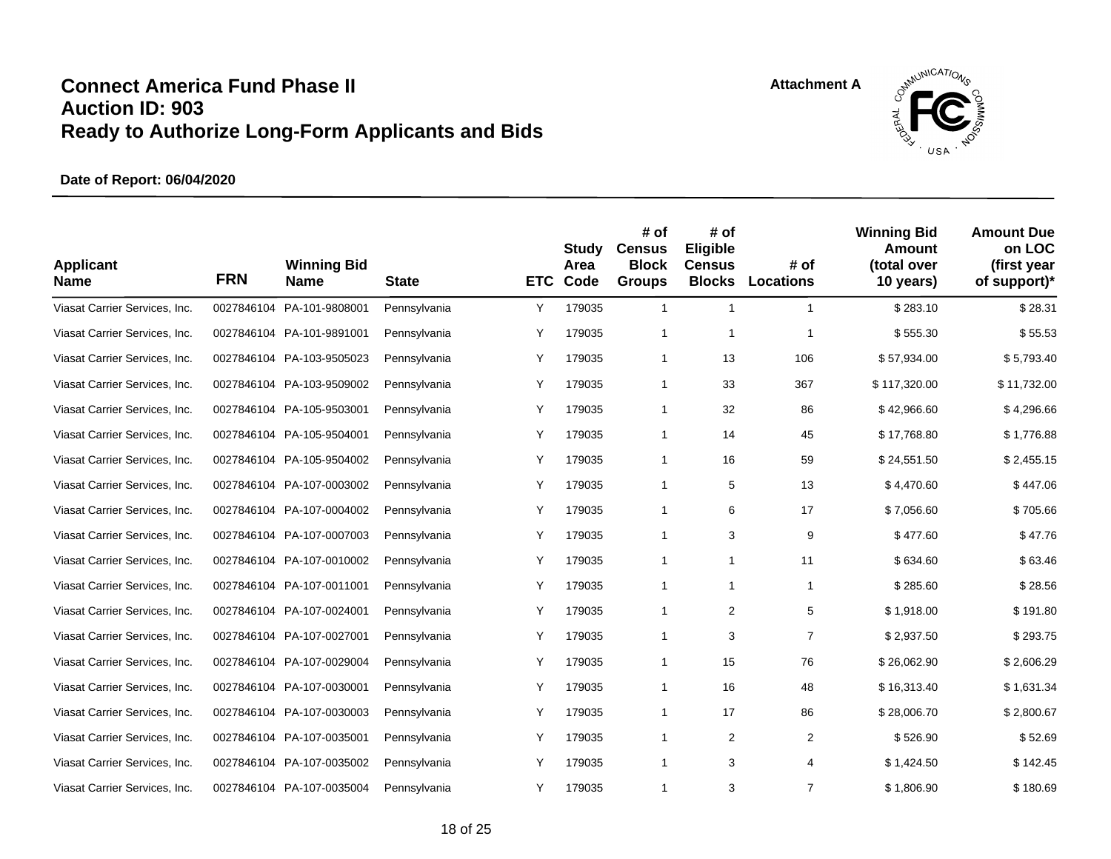

| <b>Applicant</b><br><b>Name</b> | <b>FRN</b> | <b>Winning Bid</b><br><b>Name</b> | <b>State</b> | <b>ETC</b> | Study<br>Area<br>Code | # of<br><b>Census</b><br><b>Block</b><br><b>Groups</b> | # of<br>Eligible<br><b>Census</b><br><b>Blocks</b> | # of<br><b>Locations</b> | <b>Winning Bid</b><br>Amount<br>(total over<br>10 years) | <b>Amount Due</b><br>on LOC<br>(first year<br>of support)* |
|---------------------------------|------------|-----------------------------------|--------------|------------|-----------------------|--------------------------------------------------------|----------------------------------------------------|--------------------------|----------------------------------------------------------|------------------------------------------------------------|
| Viasat Carrier Services, Inc.   | 0027846104 | PA-101-9808001                    | Pennsylvania | Υ          | 179035                | $\mathbf{1}$                                           | $\mathbf{1}$                                       | $\mathbf{1}$             | \$283.10                                                 | \$28.31                                                    |
| Viasat Carrier Services, Inc.   |            | 0027846104 PA-101-9891001         | Pennsylvania | Y          | 179035                | $\mathbf{1}$                                           | $\mathbf{1}$                                       | -1                       | \$555.30                                                 | \$55.53                                                    |
| Viasat Carrier Services, Inc.   |            | 0027846104 PA-103-9505023         | Pennsylvania | Υ          | 179035                | 1                                                      | 13                                                 | 106                      | \$57,934.00                                              | \$5,793.40                                                 |
| Viasat Carrier Services, Inc.   |            | 0027846104 PA-103-9509002         | Pennsylvania | Υ          | 179035                | $\mathbf{1}$                                           | 33                                                 | 367                      | \$117,320.00                                             | \$11,732.00                                                |
| Viasat Carrier Services, Inc.   | 0027846104 | PA-105-9503001                    | Pennsylvania | Υ          | 179035                | 1                                                      | 32                                                 | 86                       | \$42,966.60                                              | \$4,296.66                                                 |
| Viasat Carrier Services, Inc.   |            | 0027846104 PA-105-9504001         | Pennsylvania | Y          | 179035                | $\mathbf{1}$                                           | 14                                                 | 45                       | \$17,768.80                                              | \$1,776.88                                                 |
| Viasat Carrier Services, Inc.   |            | 0027846104 PA-105-9504002         | Pennsylvania | Y          | 179035                | $\mathbf{1}$                                           | 16                                                 | 59                       | \$24,551.50                                              | \$2,455.15                                                 |
| Viasat Carrier Services, Inc.   |            | 0027846104 PA-107-0003002         | Pennsylvania | Υ          | 179035                | 1                                                      | 5                                                  | 13                       | \$4,470.60                                               | \$447.06                                                   |
| Viasat Carrier Services, Inc.   |            | 0027846104 PA-107-0004002         | Pennsylvania | Υ          | 179035                | $\mathbf{1}$                                           | 6                                                  | 17                       | \$7,056.60                                               | \$705.66                                                   |
| Viasat Carrier Services, Inc.   |            | 0027846104 PA-107-0007003         | Pennsylvania | Y          | 179035                | 1                                                      | 3                                                  | 9                        | \$477.60                                                 | \$47.76                                                    |
| Viasat Carrier Services, Inc.   |            | 0027846104 PA-107-0010002         | Pennsylvania | Y          | 179035                | 1                                                      | $\mathbf{1}$                                       | 11                       | \$634.60                                                 | \$63.46                                                    |
| Viasat Carrier Services, Inc.   |            | 0027846104 PA-107-0011001         | Pennsylvania | Υ          | 179035                | 1                                                      | 1                                                  | $\mathbf{1}$             | \$285.60                                                 | \$28.56                                                    |
| Viasat Carrier Services, Inc.   |            | 0027846104 PA-107-0024001         | Pennsylvania | Υ          | 179035                | 1                                                      | 2                                                  | 5                        | \$1,918.00                                               | \$191.80                                                   |
| Viasat Carrier Services, Inc.   |            | 0027846104 PA-107-0027001         | Pennsylvania | Υ          | 179035                | 1                                                      | 3                                                  | $\overline{7}$           | \$2,937.50                                               | \$293.75                                                   |
| Viasat Carrier Services, Inc.   |            | 0027846104 PA-107-0029004         | Pennsylvania | Y          | 179035                | $\mathbf{1}$                                           | 15                                                 | 76                       | \$26,062.90                                              | \$2,606.29                                                 |
| Viasat Carrier Services, Inc.   |            | 0027846104 PA-107-0030001         | Pennsylvania | Υ          | 179035                | 1                                                      | 16                                                 | 48                       | \$16,313.40                                              | \$1,631.34                                                 |
| Viasat Carrier Services, Inc.   |            | 0027846104 PA-107-0030003         | Pennsylvania | Υ          | 179035                | $\mathbf{1}$                                           | 17                                                 | 86                       | \$28,006.70                                              | \$2,800.67                                                 |
| Viasat Carrier Services, Inc.   |            | 0027846104 PA-107-0035001         | Pennsylvania | Υ          | 179035                | 1                                                      | $\overline{2}$                                     | $\overline{2}$           | \$526.90                                                 | \$52.69                                                    |
| Viasat Carrier Services, Inc.   |            | 0027846104 PA-107-0035002         | Pennsylvania | Y          | 179035                | 1                                                      | 3                                                  | $\overline{4}$           | \$1,424.50                                               | \$142.45                                                   |
| Viasat Carrier Services, Inc.   |            | 0027846104 PA-107-0035004         | Pennsylvania | Y          | 179035                | 1                                                      | 3                                                  | $\overline{7}$           | \$1,806.90                                               | \$180.69                                                   |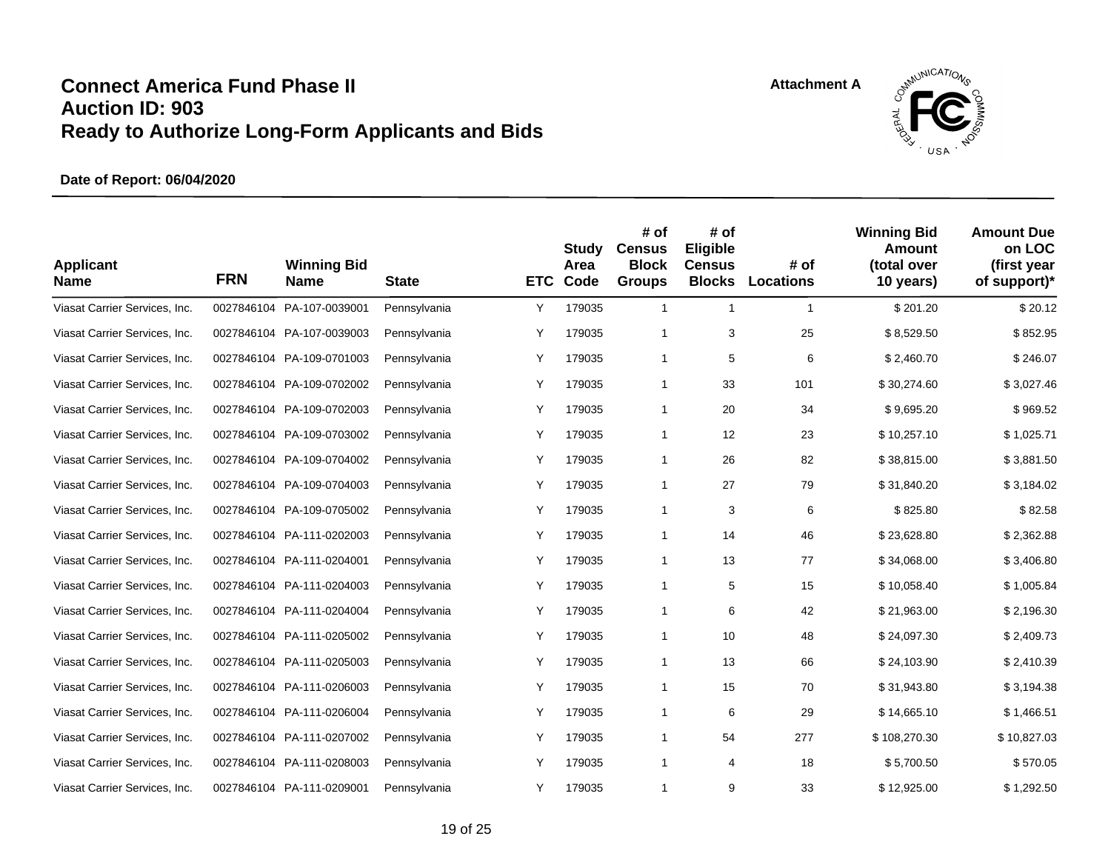

| <b>Applicant</b><br><b>Name</b> | <b>FRN</b> | <b>Winning Bid</b><br><b>Name</b> | <b>State</b> | <b>ETC</b> | Study<br>Area<br>Code | # of<br><b>Census</b><br><b>Block</b><br><b>Groups</b> | # of<br>Eligible<br><b>Census</b><br><b>Blocks</b> | # of<br><b>Locations</b> | <b>Winning Bid</b><br>Amount<br>(total over<br>10 years) | <b>Amount Due</b><br>on LOC<br>(first year<br>of support)* |
|---------------------------------|------------|-----------------------------------|--------------|------------|-----------------------|--------------------------------------------------------|----------------------------------------------------|--------------------------|----------------------------------------------------------|------------------------------------------------------------|
| Viasat Carrier Services, Inc.   | 0027846104 | PA-107-0039001                    | Pennsylvania | Υ          | 179035                | $\mathbf{1}$                                           | $\mathbf{1}$                                       | $\mathbf{1}$             | \$201.20                                                 | \$20.12                                                    |
| Viasat Carrier Services, Inc.   |            | 0027846104 PA-107-0039003         | Pennsylvania | Υ          | 179035                | $\mathbf{1}$                                           | 3                                                  | 25                       | \$8,529.50                                               | \$852.95                                                   |
| Viasat Carrier Services, Inc.   |            | 0027846104 PA-109-0701003         | Pennsylvania | Υ          | 179035                | $\mathbf{1}$                                           | 5                                                  | 6                        | \$2,460.70                                               | \$246.07                                                   |
| Viasat Carrier Services, Inc.   |            | 0027846104 PA-109-0702002         | Pennsylvania | Υ          | 179035                | $\mathbf{1}$                                           | 33                                                 | 101                      | \$30,274.60                                              | \$3,027.46                                                 |
| Viasat Carrier Services, Inc.   |            | 0027846104 PA-109-0702003         | Pennsylvania | Υ          | 179035                | $\mathbf{1}$                                           | 20                                                 | 34                       | \$9,695.20                                               | \$969.52                                                   |
| Viasat Carrier Services, Inc.   |            | 0027846104 PA-109-0703002         | Pennsylvania | Υ          | 179035                | $\mathbf{1}$                                           | 12                                                 | 23                       | \$10,257.10                                              | \$1,025.71                                                 |
| Viasat Carrier Services, Inc.   |            | 0027846104 PA-109-0704002         | Pennsylvania | Υ          | 179035                | 1                                                      | 26                                                 | 82                       | \$38,815.00                                              | \$3,881.50                                                 |
| Viasat Carrier Services, Inc.   |            | 0027846104 PA-109-0704003         | Pennsylvania | Υ          | 179035                | 1                                                      | 27                                                 | 79                       | \$31,840.20                                              | \$3,184.02                                                 |
| Viasat Carrier Services, Inc.   |            | 0027846104 PA-109-0705002         | Pennsylvania | Υ          | 179035                | 1                                                      | 3                                                  | 6                        | \$825.80                                                 | \$82.58                                                    |
| Viasat Carrier Services, Inc.   |            | 0027846104 PA-111-0202003         | Pennsylvania | Υ          | 179035                | 1                                                      | 14                                                 | 46                       | \$23,628.80                                              | \$2,362.88                                                 |
| Viasat Carrier Services, Inc.   |            | 0027846104 PA-111-0204001         | Pennsylvania | Υ          | 179035                | 1                                                      | 13                                                 | 77                       | \$34,068.00                                              | \$3,406.80                                                 |
| Viasat Carrier Services, Inc.   |            | 0027846104 PA-111-0204003         | Pennsylvania | Υ          | 179035                | 1                                                      | 5                                                  | 15                       | \$10,058.40                                              | \$1,005.84                                                 |
| Viasat Carrier Services, Inc.   |            | 0027846104 PA-111-0204004         | Pennsylvania | Υ          | 179035                | 1                                                      | 6                                                  | 42                       | \$21,963.00                                              | \$2,196.30                                                 |
| Viasat Carrier Services, Inc.   |            | 0027846104 PA-111-0205002         | Pennsylvania | Y          | 179035                | 1                                                      | 10                                                 | 48                       | \$24,097.30                                              | \$2,409.73                                                 |
| Viasat Carrier Services, Inc.   |            | 0027846104 PA-111-0205003         | Pennsylvania | Y          | 179035                | $\mathbf{1}$                                           | 13                                                 | 66                       | \$24,103.90                                              | \$2,410.39                                                 |
| Viasat Carrier Services, Inc.   |            | 0027846104 PA-111-0206003         | Pennsylvania | Υ          | 179035                | $\mathbf{1}$                                           | 15                                                 | 70                       | \$31,943.80                                              | \$3,194.38                                                 |
| Viasat Carrier Services, Inc.   |            | 0027846104 PA-111-0206004         | Pennsylvania | Υ          | 179035                | $\mathbf{1}$                                           | 6                                                  | 29                       | \$14,665.10                                              | \$1,466.51                                                 |
| Viasat Carrier Services, Inc.   |            | 0027846104 PA-111-0207002         | Pennsylvania | Υ          | 179035                | 1                                                      | 54                                                 | 277                      | \$108,270.30                                             | \$10,827.03                                                |
| Viasat Carrier Services, Inc.   |            | 0027846104 PA-111-0208003         | Pennsylvania | Y          | 179035                | 1                                                      | 4                                                  | 18                       | \$5,700.50                                               | \$570.05                                                   |
| Viasat Carrier Services, Inc.   |            | 0027846104 PA-111-0209001         | Pennsylvania | Y          | 179035                | 1                                                      | 9                                                  | 33                       | \$12,925.00                                              | \$1,292.50                                                 |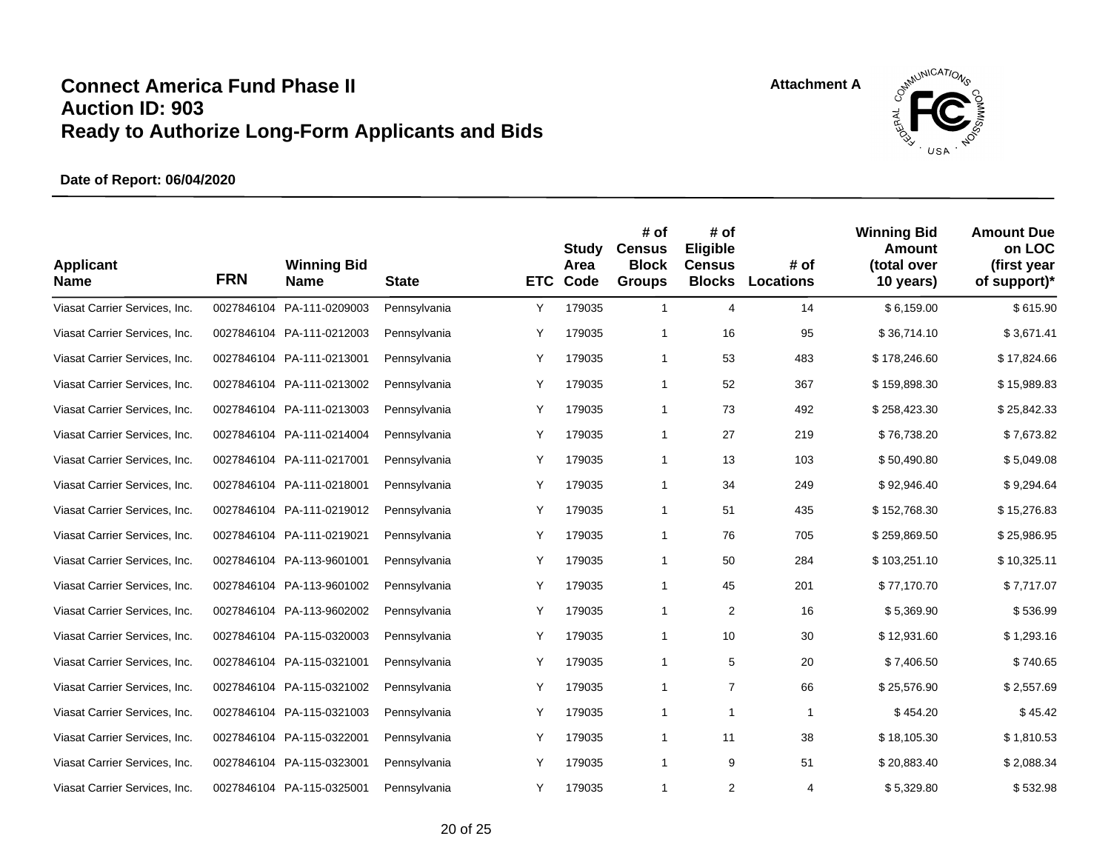

| <b>Applicant</b><br><b>Name</b> | <b>FRN</b> | <b>Winning Bid</b><br><b>Name</b> | <b>State</b> | <b>ETC</b> | <b>Study</b><br>Area<br>Code | # of<br><b>Census</b><br><b>Block</b><br><b>Groups</b> | # of<br>Eligible<br><b>Census</b><br><b>Blocks</b> | # of<br><b>Locations</b> | <b>Winning Bid</b><br>Amount<br>(total over<br>10 years) | <b>Amount Due</b><br>on LOC<br>(first year<br>of support)* |
|---------------------------------|------------|-----------------------------------|--------------|------------|------------------------------|--------------------------------------------------------|----------------------------------------------------|--------------------------|----------------------------------------------------------|------------------------------------------------------------|
| Viasat Carrier Services, Inc.   | 0027846104 | PA-111-0209003                    | Pennsylvania | Υ          | 179035                       | $\mathbf{1}$                                           | $\overline{4}$                                     | 14                       | \$6,159.00                                               | \$615.90                                                   |
| Viasat Carrier Services, Inc.   |            | 0027846104 PA-111-0212003         | Pennsylvania | Υ          | 179035                       | 1                                                      | 16                                                 | 95                       | \$36,714.10                                              | \$3,671.41                                                 |
| Viasat Carrier Services, Inc.   |            | 0027846104 PA-111-0213001         | Pennsylvania | Υ          | 179035                       | $\mathbf{1}$                                           | 53                                                 | 483                      | \$178,246.60                                             | \$17,824.66                                                |
| Viasat Carrier Services, Inc.   |            | 0027846104 PA-111-0213002         | Pennsylvania | Υ          | 179035                       | $\mathbf{1}$                                           | 52                                                 | 367                      | \$159,898.30                                             | \$15,989.83                                                |
| Viasat Carrier Services, Inc.   |            | 0027846104 PA-111-0213003         | Pennsylvania | Υ          | 179035                       | $\mathbf{1}$                                           | 73                                                 | 492                      | \$258,423.30                                             | \$25,842.33                                                |
| Viasat Carrier Services, Inc.   |            | 0027846104 PA-111-0214004         | Pennsylvania | Υ          | 179035                       | $\mathbf{1}$                                           | 27                                                 | 219                      | \$76,738.20                                              | \$7,673.82                                                 |
| Viasat Carrier Services, Inc.   |            | 0027846104 PA-111-0217001         | Pennsylvania | Υ          | 179035                       | 1                                                      | 13                                                 | 103                      | \$50,490.80                                              | \$5,049.08                                                 |
| Viasat Carrier Services, Inc.   |            | 0027846104 PA-111-0218001         | Pennsylvania | Υ          | 179035                       | 1                                                      | 34                                                 | 249                      | \$92,946.40                                              | \$9,294.64                                                 |
| Viasat Carrier Services, Inc.   |            | 0027846104 PA-111-0219012         | Pennsylvania | Y          | 179035                       | 1                                                      | 51                                                 | 435                      | \$152,768.30                                             | \$15,276.83                                                |
| Viasat Carrier Services, Inc.   |            | 0027846104 PA-111-0219021         | Pennsylvania | Y          | 179035                       | 1                                                      | 76                                                 | 705                      | \$259,869.50                                             | \$25,986.95                                                |
| Viasat Carrier Services, Inc.   |            | 0027846104 PA-113-9601001         | Pennsylvania | Υ          | 179035                       | 1                                                      | 50                                                 | 284                      | \$103,251.10                                             | \$10,325.11                                                |
| Viasat Carrier Services, Inc.   |            | 0027846104 PA-113-9601002         | Pennsylvania | Υ          | 179035                       | 1                                                      | 45                                                 | 201                      | \$77,170.70                                              | \$7,717.07                                                 |
| Viasat Carrier Services, Inc.   |            | 0027846104 PA-113-9602002         | Pennsylvania | Υ          | 179035                       | 1                                                      | 2                                                  | 16                       | \$5,369.90                                               | \$536.99                                                   |
| Viasat Carrier Services, Inc.   |            | 0027846104 PA-115-0320003         | Pennsylvania | Y          | 179035                       | 1                                                      | 10                                                 | 30                       | \$12,931.60                                              | \$1,293.16                                                 |
| Viasat Carrier Services, Inc.   |            | 0027846104 PA-115-0321001         | Pennsylvania | Y          | 179035                       | $\mathbf{1}$                                           | 5                                                  | 20                       | \$7,406.50                                               | \$740.65                                                   |
| Viasat Carrier Services, Inc.   |            | 0027846104 PA-115-0321002         | Pennsylvania | Υ          | 179035                       | 1                                                      | $\overline{7}$                                     | 66                       | \$25,576.90                                              | \$2,557.69                                                 |
| Viasat Carrier Services, Inc.   |            | 0027846104 PA-115-0321003         | Pennsylvania | Υ          | 179035                       | $\mathbf{1}$                                           | 1                                                  | 1                        | \$454.20                                                 | \$45.42                                                    |
| Viasat Carrier Services, Inc.   |            | 0027846104 PA-115-0322001         | Pennsylvania | Υ          | 179035                       | 1                                                      | 11                                                 | 38                       | \$18,105.30                                              | \$1,810.53                                                 |
| Viasat Carrier Services, Inc.   |            | 0027846104 PA-115-0323001         | Pennsylvania | Y          | 179035                       | 1                                                      | 9                                                  | 51                       | \$20,883.40                                              | \$2,088.34                                                 |
| Viasat Carrier Services, Inc.   |            | 0027846104 PA-115-0325001         | Pennsylvania | Y          | 179035                       | 1                                                      | 2                                                  | 4                        | \$5,329.80                                               | \$532.98                                                   |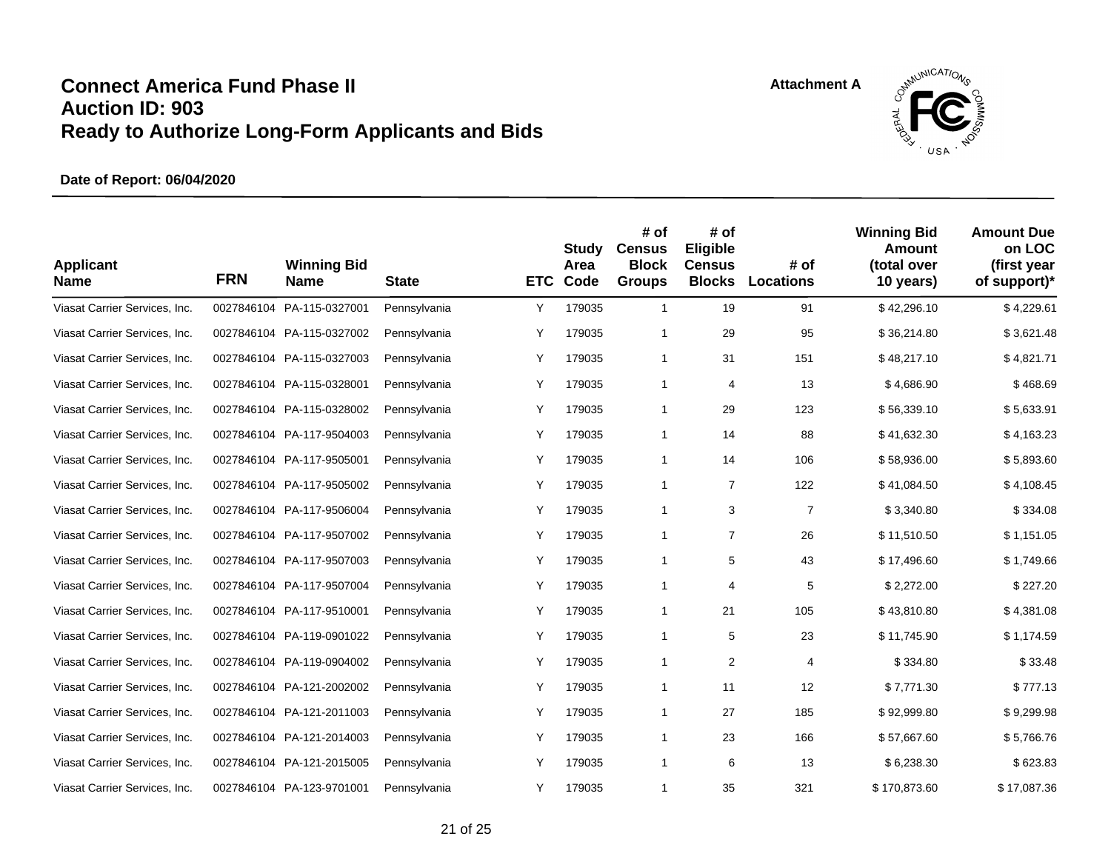

| <b>Applicant</b><br><b>Name</b> | <b>FRN</b> | <b>Winning Bid</b><br><b>Name</b> | <b>State</b> | <b>ETC</b> | Study<br>Area<br>Code | # of<br><b>Census</b><br><b>Block</b><br><b>Groups</b> | # of<br>Eligible<br><b>Census</b><br><b>Blocks</b> | # of<br><b>Locations</b> | <b>Winning Bid</b><br><b>Amount</b><br>(total over<br>10 years) | <b>Amount Due</b><br>on LOC<br>(first year<br>of support)* |
|---------------------------------|------------|-----------------------------------|--------------|------------|-----------------------|--------------------------------------------------------|----------------------------------------------------|--------------------------|-----------------------------------------------------------------|------------------------------------------------------------|
| Viasat Carrier Services, Inc.   | 0027846104 | PA-115-0327001                    | Pennsylvania | Y          | 179035                | $\mathbf{1}$                                           | 19                                                 | 91                       | \$42,296.10                                                     | \$4,229.61                                                 |
| Viasat Carrier Services, Inc.   |            | 0027846104 PA-115-0327002         | Pennsylvania | Υ          | 179035                | 1                                                      | 29                                                 | 95                       | \$36,214.80                                                     | \$3,621.48                                                 |
| Viasat Carrier Services, Inc.   |            | 0027846104 PA-115-0327003         | Pennsylvania | Y          | 179035                | 1                                                      | 31                                                 | 151                      | \$48,217.10                                                     | \$4,821.71                                                 |
| Viasat Carrier Services, Inc.   |            | 0027846104 PA-115-0328001         | Pennsylvania | Υ          | 179035                | 1                                                      | 4                                                  | 13                       | \$4,686.90                                                      | \$468.69                                                   |
| Viasat Carrier Services, Inc.   |            | 0027846104 PA-115-0328002         | Pennsylvania | Υ          | 179035                | $\mathbf{1}$                                           | 29                                                 | 123                      | \$56,339.10                                                     | \$5,633.91                                                 |
| Viasat Carrier Services, Inc.   |            | 0027846104 PA-117-9504003         | Pennsylvania | Y          | 179035                | $\mathbf{1}$                                           | 14                                                 | 88                       | \$41,632.30                                                     | \$4,163.23                                                 |
| Viasat Carrier Services, Inc.   |            | 0027846104 PA-117-9505001         | Pennsylvania | Υ          | 179035                | 1                                                      | 14                                                 | 106                      | \$58,936.00                                                     | \$5,893.60                                                 |
| Viasat Carrier Services, Inc.   |            | 0027846104 PA-117-9505002         | Pennsylvania | Υ          | 179035                | $\mathbf{1}$                                           | $\overline{7}$                                     | 122                      | \$41,084.50                                                     | \$4,108.45                                                 |
| Viasat Carrier Services, Inc.   |            | 0027846104 PA-117-9506004         | Pennsylvania | Υ          | 179035                | $\mathbf{1}$                                           | 3                                                  | $\overline{7}$           | \$3,340.80                                                      | \$334.08                                                   |
| Viasat Carrier Services, Inc.   |            | 0027846104 PA-117-9507002         | Pennsylvania | Υ          | 179035                | 1                                                      | 7                                                  | 26                       | \$11,510.50                                                     | \$1,151.05                                                 |
| Viasat Carrier Services, Inc.   |            | 0027846104 PA-117-9507003         | Pennsylvania | Υ          | 179035                | 1                                                      | 5                                                  | 43                       | \$17,496.60                                                     | \$1,749.66                                                 |
| Viasat Carrier Services, Inc.   |            | 0027846104 PA-117-9507004         | Pennsylvania | Y          | 179035                | $\mathbf{1}$                                           | 4                                                  | 5                        | \$2,272.00                                                      | \$227.20                                                   |
| Viasat Carrier Services, Inc.   |            | 0027846104 PA-117-9510001         | Pennsylvania | Υ          | 179035                | $\mathbf{1}$                                           | 21                                                 | 105                      | \$43,810.80                                                     | \$4,381.08                                                 |
| Viasat Carrier Services, Inc.   |            | 0027846104 PA-119-0901022         | Pennsylvania | Υ          | 179035                | $\mathbf{1}$                                           | 5                                                  | 23                       | \$11,745.90                                                     | \$1,174.59                                                 |
| Viasat Carrier Services, Inc.   |            | 0027846104 PA-119-0904002         | Pennsylvania | Y          | 179035                | 1                                                      | 2                                                  | 4                        | \$334.80                                                        | \$33.48                                                    |
| Viasat Carrier Services, Inc.   |            | 0027846104 PA-121-2002002         | Pennsylvania | Υ          | 179035                | 1                                                      | 11                                                 | 12                       | \$7,771.30                                                      | \$777.13                                                   |
| Viasat Carrier Services, Inc.   |            | 0027846104 PA-121-2011003         | Pennsylvania | Υ          | 179035                | $\mathbf{1}$                                           | 27                                                 | 185                      | \$92,999.80                                                     | \$9,299.98                                                 |
| Viasat Carrier Services, Inc.   |            | 0027846104 PA-121-2014003         | Pennsylvania | Υ          | 179035                | 1                                                      | 23                                                 | 166                      | \$57,667.60                                                     | \$5,766.76                                                 |
| Viasat Carrier Services, Inc.   |            | 0027846104 PA-121-2015005         | Pennsylvania | Υ          | 179035                | 1                                                      | 6                                                  | 13                       | \$6,238.30                                                      | \$623.83                                                   |
| Viasat Carrier Services, Inc.   |            | 0027846104 PA-123-9701001         | Pennsylvania | Y          | 179035                | 1                                                      | 35                                                 | 321                      | \$170,873.60                                                    | \$17,087.36                                                |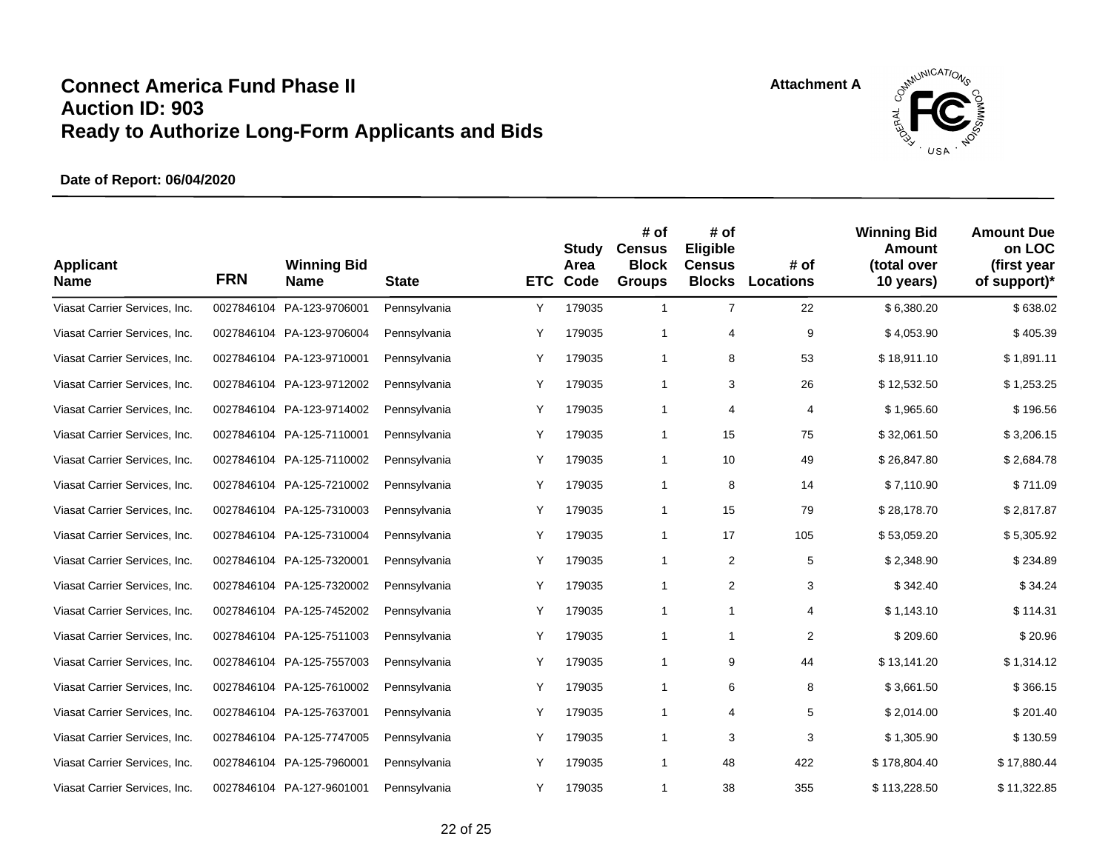

| <b>Applicant</b><br><b>Name</b> | <b>FRN</b> | <b>Winning Bid</b><br><b>Name</b> | <b>State</b> | <b>ETC</b> | Study<br>Area<br>Code | # of<br><b>Census</b><br><b>Block</b><br><b>Groups</b> | # of<br>Eligible<br><b>Census</b><br><b>Blocks</b> | # of<br><b>Locations</b> | <b>Winning Bid</b><br>Amount<br>(total over<br>10 years) | <b>Amount Due</b><br>on LOC<br>(first year<br>of support)* |
|---------------------------------|------------|-----------------------------------|--------------|------------|-----------------------|--------------------------------------------------------|----------------------------------------------------|--------------------------|----------------------------------------------------------|------------------------------------------------------------|
| Viasat Carrier Services, Inc.   | 0027846104 | PA-123-9706001                    | Pennsylvania | Υ          | 179035                | $\mathbf{1}$                                           | $\overline{7}$                                     | 22                       | \$6,380.20                                               | \$638.02                                                   |
| Viasat Carrier Services, Inc.   |            | 0027846104 PA-123-9706004         | Pennsylvania | Y          | 179035                | 1                                                      | 4                                                  | 9                        | \$4,053.90                                               | \$405.39                                                   |
| Viasat Carrier Services, Inc.   |            | 0027846104 PA-123-9710001         | Pennsylvania | Υ          | 179035                | 1                                                      | 8                                                  | 53                       | \$18,911.10                                              | \$1,891.11                                                 |
| Viasat Carrier Services, Inc.   |            | 0027846104 PA-123-9712002         | Pennsylvania | Υ          | 179035                | 1                                                      | 3                                                  | 26                       | \$12,532.50                                              | \$1,253.25                                                 |
| Viasat Carrier Services, Inc.   |            | 0027846104 PA-123-9714002         | Pennsylvania | Υ          | 179035                | $\mathbf{1}$                                           | 4                                                  | 4                        | \$1,965.60                                               | \$196.56                                                   |
| Viasat Carrier Services, Inc.   |            | 0027846104 PA-125-7110001         | Pennsylvania | Y          | 179035                | $\mathbf{1}$                                           | 15                                                 | 75                       | \$32,061.50                                              | \$3,206.15                                                 |
| Viasat Carrier Services, Inc.   |            | 0027846104 PA-125-7110002         | Pennsylvania | Y          | 179035                | $\mathbf{1}$                                           | 10                                                 | 49                       | \$26,847.80                                              | \$2,684.78                                                 |
| Viasat Carrier Services, Inc.   |            | 0027846104 PA-125-7210002         | Pennsylvania | Υ          | 179035                | $\mathbf{1}$                                           | 8                                                  | 14                       | \$7,110.90                                               | \$711.09                                                   |
| Viasat Carrier Services, Inc.   |            | 0027846104 PA-125-7310003         | Pennsylvania | Υ          | 179035                | $\mathbf{1}$                                           | 15                                                 | 79                       | \$28,178.70                                              | \$2,817.87                                                 |
| Viasat Carrier Services, Inc.   |            | 0027846104 PA-125-7310004         | Pennsylvania | Y          | 179035                | 1                                                      | 17                                                 | 105                      | \$53,059.20                                              | \$5,305.92                                                 |
| Viasat Carrier Services, Inc.   |            | 0027846104 PA-125-7320001         | Pennsylvania | Y          | 179035                | 1                                                      | $\overline{2}$                                     | 5                        | \$2,348.90                                               | \$234.89                                                   |
| Viasat Carrier Services, Inc.   |            | 0027846104 PA-125-7320002         | Pennsylvania | Υ          | 179035                | 1                                                      | 2                                                  | 3                        | \$342.40                                                 | \$34.24                                                    |
| Viasat Carrier Services, Inc.   |            | 0027846104 PA-125-7452002         | Pennsylvania | Υ          | 179035                | 1                                                      | 1                                                  | 4                        | \$1,143.10                                               | \$114.31                                                   |
| Viasat Carrier Services, Inc.   |            | 0027846104 PA-125-7511003         | Pennsylvania | Υ          | 179035                | 1                                                      | $\mathbf{1}$                                       | $\overline{2}$           | \$209.60                                                 | \$20.96                                                    |
| Viasat Carrier Services, Inc.   |            | 0027846104 PA-125-7557003         | Pennsylvania | Y          | 179035                | $\mathbf{1}$                                           | 9                                                  | 44                       | \$13,141.20                                              | \$1,314.12                                                 |
| Viasat Carrier Services, Inc.   |            | 0027846104 PA-125-7610002         | Pennsylvania | Υ          | 179035                | 1                                                      | 6                                                  | 8                        | \$3,661.50                                               | \$366.15                                                   |
| Viasat Carrier Services, Inc.   |            | 0027846104 PA-125-7637001         | Pennsylvania | Υ          | 179035                | $\mathbf{1}$                                           | 4                                                  | $\sqrt{5}$               | \$2,014.00                                               | \$201.40                                                   |
| Viasat Carrier Services, Inc.   |            | 0027846104 PA-125-7747005         | Pennsylvania | Υ          | 179035                | 1                                                      | 3                                                  | 3                        | \$1,305.90                                               | \$130.59                                                   |
| Viasat Carrier Services, Inc.   |            | 0027846104 PA-125-7960001         | Pennsylvania | Y          | 179035                | 1                                                      | 48                                                 | 422                      | \$178,804.40                                             | \$17,880.44                                                |
| Viasat Carrier Services, Inc.   |            | 0027846104 PA-127-9601001         | Pennsylvania | Y          | 179035                | 1                                                      | 38                                                 | 355                      | \$113,228.50                                             | \$11,322.85                                                |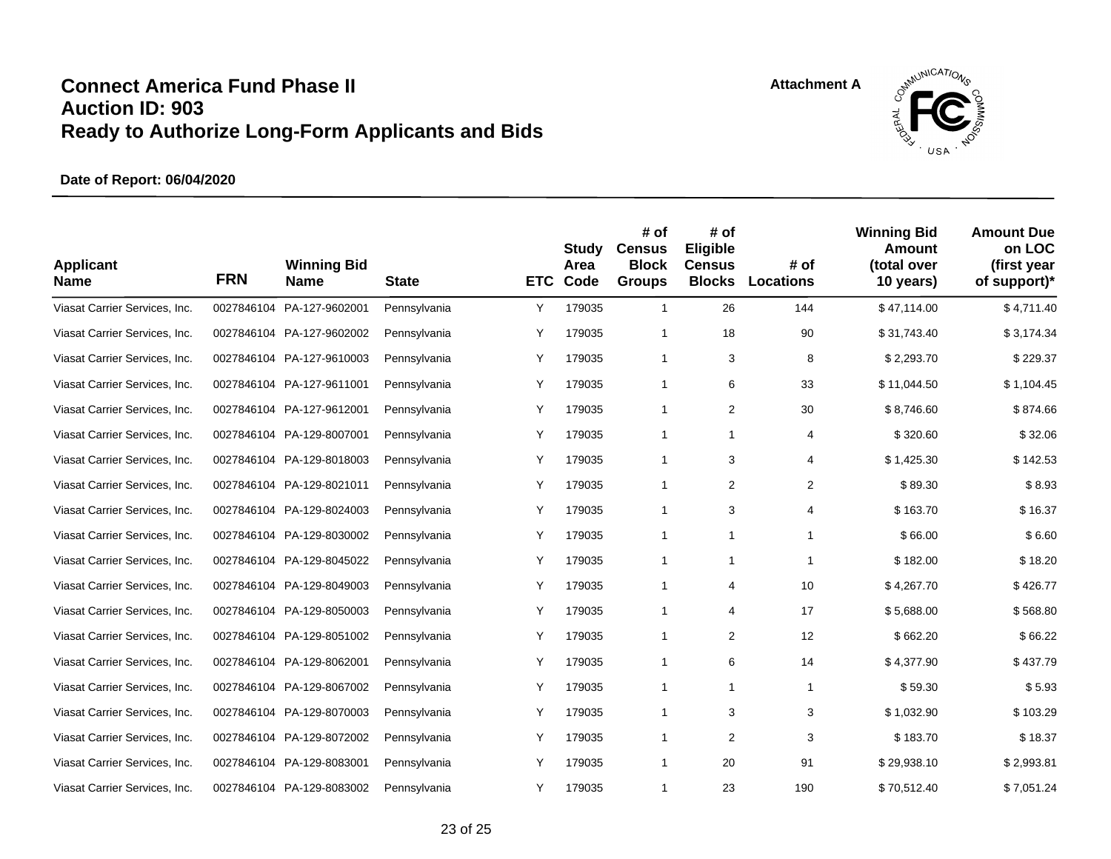

| <b>Applicant</b><br><b>Name</b> | <b>FRN</b> | <b>Winning Bid</b><br><b>Name</b> | <b>State</b> | <b>ETC</b> | Study<br>Area<br>Code | # of<br><b>Census</b><br><b>Block</b><br><b>Groups</b> | # of<br>Eligible<br><b>Census</b><br><b>Blocks</b> | # of<br><b>Locations</b> | <b>Winning Bid</b><br>Amount<br>(total over<br>10 years) | <b>Amount Due</b><br>on LOC<br>(first year<br>of support)* |
|---------------------------------|------------|-----------------------------------|--------------|------------|-----------------------|--------------------------------------------------------|----------------------------------------------------|--------------------------|----------------------------------------------------------|------------------------------------------------------------|
| Viasat Carrier Services, Inc.   | 0027846104 | PA-127-9602001                    | Pennsylvania | Υ          | 179035                | $\mathbf{1}$                                           | 26                                                 | 144                      | \$47,114.00                                              | \$4,711.40                                                 |
| Viasat Carrier Services, Inc.   |            | 0027846104 PA-127-9602002         | Pennsylvania | Υ          | 179035                | 1                                                      | 18                                                 | 90                       | \$31,743.40                                              | \$3,174.34                                                 |
| Viasat Carrier Services, Inc.   |            | 0027846104 PA-127-9610003         | Pennsylvania | Υ          | 179035                | 1                                                      | 3                                                  | 8                        | \$2,293.70                                               | \$229.37                                                   |
| Viasat Carrier Services, Inc.   |            | 0027846104 PA-127-9611001         | Pennsylvania | Y          | 179035                | 1                                                      | 6                                                  | 33                       | \$11.044.50                                              | \$1,104.45                                                 |
| Viasat Carrier Services, Inc.   |            | 0027846104 PA-127-9612001         | Pennsylvania | Υ          | 179035                | $\mathbf{1}$                                           | 2                                                  | 30                       | \$8,746.60                                               | \$874.66                                                   |
| Viasat Carrier Services, Inc.   |            | 0027846104 PA-129-8007001         | Pennsylvania | Υ          | 179035                | 1                                                      | $\mathbf{1}$                                       | 4                        | \$320.60                                                 | \$32.06                                                    |
| Viasat Carrier Services, Inc.   |            | 0027846104 PA-129-8018003         | Pennsylvania | Υ          | 179035                | 1                                                      | 3                                                  | 4                        | \$1,425.30                                               | \$142.53                                                   |
| Viasat Carrier Services, Inc.   |            | 0027846104 PA-129-8021011         | Pennsylvania | Y          | 179035                | 1                                                      | 2                                                  | $\overline{2}$           | \$89.30                                                  | \$8.93                                                     |
| Viasat Carrier Services, Inc.   |            | 0027846104 PA-129-8024003         | Pennsylvania | Y          | 179035                | 1                                                      | 3                                                  | 4                        | \$163.70                                                 | \$16.37                                                    |
| Viasat Carrier Services, Inc.   |            | 0027846104 PA-129-8030002         | Pennsylvania | Y          | 179035                | 1                                                      | 1                                                  | $\mathbf{1}$             | \$66.00                                                  | \$6.60                                                     |
| Viasat Carrier Services, Inc.   |            | 0027846104 PA-129-8045022         | Pennsylvania | Υ          | 179035                | 1                                                      | 1                                                  | $\mathbf{1}$             | \$182.00                                                 | \$18.20                                                    |
| Viasat Carrier Services, Inc.   |            | 0027846104 PA-129-8049003         | Pennsylvania | Υ          | 179035                | 1                                                      | 4                                                  | 10                       | \$4,267.70                                               | \$426.77                                                   |
| Viasat Carrier Services, Inc.   |            | 0027846104 PA-129-8050003         | Pennsylvania | Y          | 179035                | $\mathbf{1}$                                           | 4                                                  | 17                       | \$5,688.00                                               | \$568.80                                                   |
| Viasat Carrier Services, Inc.   |            | 0027846104 PA-129-8051002         | Pennsylvania | Υ          | 179035                | 1                                                      | 2                                                  | 12                       | \$662.20                                                 | \$66.22                                                    |
| Viasat Carrier Services, Inc.   |            | 0027846104 PA-129-8062001         | Pennsylvania | Y          | 179035                | $\mathbf{1}$                                           | 6                                                  | 14                       | \$4,377.90                                               | \$437.79                                                   |
| Viasat Carrier Services, Inc.   |            | 0027846104 PA-129-8067002         | Pennsylvania | Υ          | 179035                | 1                                                      | 1                                                  | $\mathbf{1}$             | \$59.30                                                  | \$5.93                                                     |
| Viasat Carrier Services, Inc.   |            | 0027846104 PA-129-8070003         | Pennsylvania | Υ          | 179035                | $\mathbf{1}$                                           | 3                                                  | 3                        | \$1,032.90                                               | \$103.29                                                   |
| Viasat Carrier Services, Inc.   |            | 0027846104 PA-129-8072002         | Pennsylvania | Υ          | 179035                | $\mathbf{1}$                                           | 2                                                  | 3                        | \$183.70                                                 | \$18.37                                                    |
| Viasat Carrier Services, Inc.   |            | 0027846104 PA-129-8083001         | Pennsylvania | Y          | 179035                | 1                                                      | 20                                                 | 91                       | \$29,938.10                                              | \$2,993.81                                                 |
| Viasat Carrier Services, Inc.   |            | 0027846104 PA-129-8083002         | Pennsylvania | Y          | 179035                | 1                                                      | 23                                                 | 190                      | \$70,512.40                                              | \$7,051.24                                                 |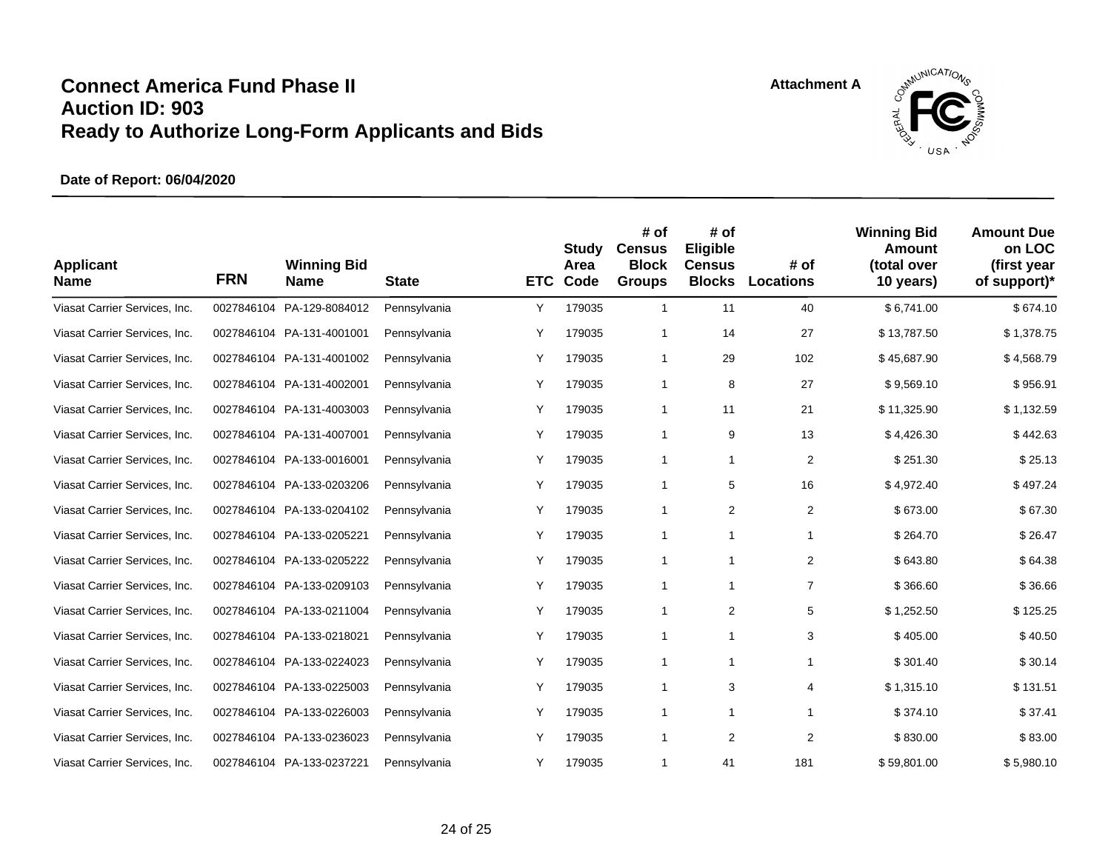

| <b>Applicant</b><br><b>Name</b> | <b>FRN</b> | <b>Winning Bid</b><br><b>Name</b> | <b>State</b> | <b>ETC</b> | <b>Study</b><br>Area<br>Code | # of<br><b>Census</b><br><b>Block</b><br><b>Groups</b> | # of<br>Eligible<br><b>Census</b><br><b>Blocks</b> | # of<br><b>Locations</b> | <b>Winning Bid</b><br>Amount<br>(total over<br>10 years) | <b>Amount Due</b><br>on LOC<br>(first year<br>of support)* |
|---------------------------------|------------|-----------------------------------|--------------|------------|------------------------------|--------------------------------------------------------|----------------------------------------------------|--------------------------|----------------------------------------------------------|------------------------------------------------------------|
| Viasat Carrier Services, Inc.   | 0027846104 | PA-129-8084012                    | Pennsylvania | Υ          | 179035                       | $\mathbf{1}$                                           | 11                                                 | 40                       | \$6,741.00                                               | \$674.10                                                   |
| Viasat Carrier Services, Inc.   |            | 0027846104 PA-131-4001001         | Pennsylvania | Υ          | 179035                       | 1                                                      | 14                                                 | 27                       | \$13,787.50                                              | \$1,378.75                                                 |
| Viasat Carrier Services, Inc.   |            | 0027846104 PA-131-4001002         | Pennsylvania | Y          | 179035                       | $\mathbf{1}$                                           | 29                                                 | 102                      | \$45,687.90                                              | \$4,568.79                                                 |
| Viasat Carrier Services, Inc.   |            | 0027846104 PA-131-4002001         | Pennsylvania | Y          | 179035                       | $\mathbf{1}$                                           | 8                                                  | 27                       | \$9,569.10                                               | \$956.91                                                   |
| Viasat Carrier Services, Inc.   |            | 0027846104 PA-131-4003003         | Pennsylvania | Y          | 179035                       | 1                                                      | 11                                                 | 21                       | \$11,325.90                                              | \$1,132.59                                                 |
| Viasat Carrier Services, Inc.   |            | 0027846104 PA-131-4007001         | Pennsylvania | Y          | 179035                       | 1                                                      | 9                                                  | 13                       | \$4,426.30                                               | \$442.63                                                   |
| Viasat Carrier Services, Inc.   |            | 0027846104 PA-133-0016001         | Pennsylvania | Υ          | 179035                       | 1                                                      | 1                                                  | $\overline{2}$           | \$251.30                                                 | \$25.13                                                    |
| Viasat Carrier Services, Inc.   |            | 0027846104 PA-133-0203206         | Pennsylvania | Υ          | 179035                       | $\mathbf{1}$                                           | 5                                                  | 16                       | \$4,972.40                                               | \$497.24                                                   |
| Viasat Carrier Services, Inc.   |            | 0027846104 PA-133-0204102         | Pennsylvania | Υ          | 179035                       | 1                                                      | 2                                                  | $\overline{2}$           | \$673.00                                                 | \$67.30                                                    |
| Viasat Carrier Services, Inc.   |            | 0027846104 PA-133-0205221         | Pennsylvania | Υ          | 179035                       | 1                                                      | 1                                                  | $\mathbf{1}$             | \$264.70                                                 | \$26.47                                                    |
| Viasat Carrier Services, Inc.   |            | 0027846104 PA-133-0205222         | Pennsylvania | Y          | 179035                       | $\mathbf{1}$                                           | $\mathbf{1}$                                       | $\overline{2}$           | \$643.80                                                 | \$64.38                                                    |
| Viasat Carrier Services, Inc.   |            | 0027846104 PA-133-0209103         | Pennsylvania | Y          | 179035                       | 1                                                      | 1                                                  | $\overline{7}$           | \$366.60                                                 | \$36.66                                                    |
| Viasat Carrier Services, Inc.   |            | 0027846104 PA-133-0211004         | Pennsylvania | Y          | 179035                       | 1                                                      | 2                                                  | 5                        | \$1,252.50                                               | \$125.25                                                   |
| Viasat Carrier Services, Inc.   |            | 0027846104 PA-133-0218021         | Pennsylvania | Υ          | 179035                       | 1                                                      | 1                                                  | 3                        | \$405.00                                                 | \$40.50                                                    |
| Viasat Carrier Services, Inc.   |            | 0027846104 PA-133-0224023         | Pennsylvania | Υ          | 179035                       | 1                                                      | $\mathbf{1}$                                       | $\mathbf{1}$             | \$301.40                                                 | \$30.14                                                    |
| Viasat Carrier Services, Inc.   |            | 0027846104 PA-133-0225003         | Pennsylvania | Υ          | 179035                       | 1                                                      | 3                                                  | 4                        | \$1,315.10                                               | \$131.51                                                   |
| Viasat Carrier Services, Inc.   |            | 0027846104 PA-133-0226003         | Pennsylvania | Y          | 179035                       | 1                                                      | $\mathbf{1}$                                       | $\mathbf 1$              | \$374.10                                                 | \$37.41                                                    |
| Viasat Carrier Services, Inc.   | 0027846104 | PA-133-0236023                    | Pennsylvania | Y          | 179035                       | 1                                                      | 2                                                  | $\overline{2}$           | \$830.00                                                 | \$83.00                                                    |
| Viasat Carrier Services, Inc.   |            | 0027846104 PA-133-0237221         | Pennsylvania | Y          | 179035                       | 1                                                      | 41                                                 | 181                      | \$59,801.00                                              | \$5,980.10                                                 |